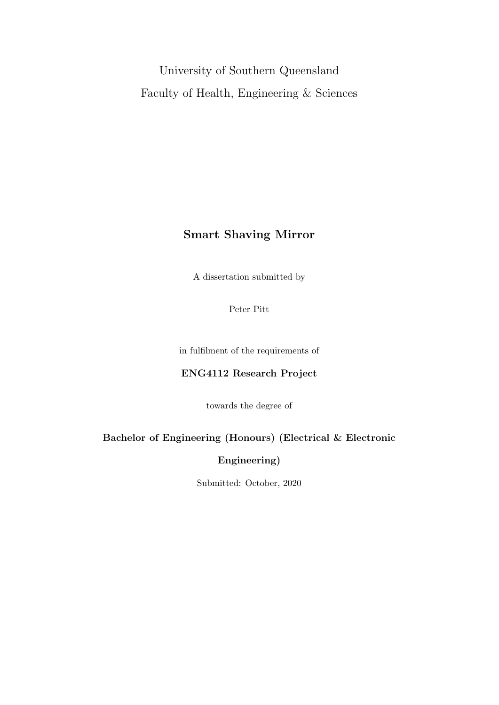University of Southern Queensland Faculty of Health, Engineering & Sciences

### Smart Shaving Mirror

A dissertation submitted by

Peter Pitt

in fulfilment of the requirements of

### ENG4112 Research Project

towards the degree of

### Bachelor of Engineering (Honours) (Electrical & Electronic

### Engineering)

Submitted: October, 2020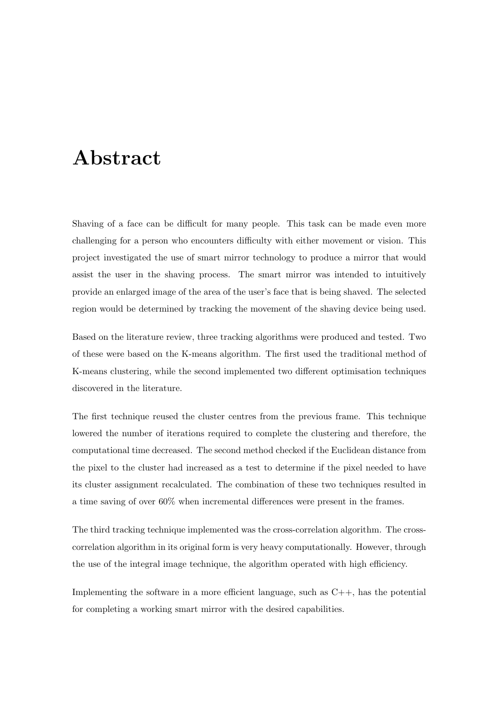## Abstract

Shaving of a face can be difficult for many people. This task can be made even more challenging for a person who encounters difficulty with either movement or vision. This project investigated the use of smart mirror technology to produce a mirror that would assist the user in the shaving process. The smart mirror was intended to intuitively provide an enlarged image of the area of the user's face that is being shaved. The selected region would be determined by tracking the movement of the shaving device being used.

Based on the literature review, three tracking algorithms were produced and tested. Two of these were based on the K-means algorithm. The first used the traditional method of K-means clustering, while the second implemented two different optimisation techniques discovered in the literature.

The first technique reused the cluster centres from the previous frame. This technique lowered the number of iterations required to complete the clustering and therefore, the computational time decreased. The second method checked if the Euclidean distance from the pixel to the cluster had increased as a test to determine if the pixel needed to have its cluster assignment recalculated. The combination of these two techniques resulted in a time saving of over 60% when incremental differences were present in the frames.

The third tracking technique implemented was the cross-correlation algorithm. The crosscorrelation algorithm in its original form is very heavy computationally. However, through the use of the integral image technique, the algorithm operated with high efficiency.

Implementing the software in a more efficient language, such as  $C++$ , has the potential for completing a working smart mirror with the desired capabilities.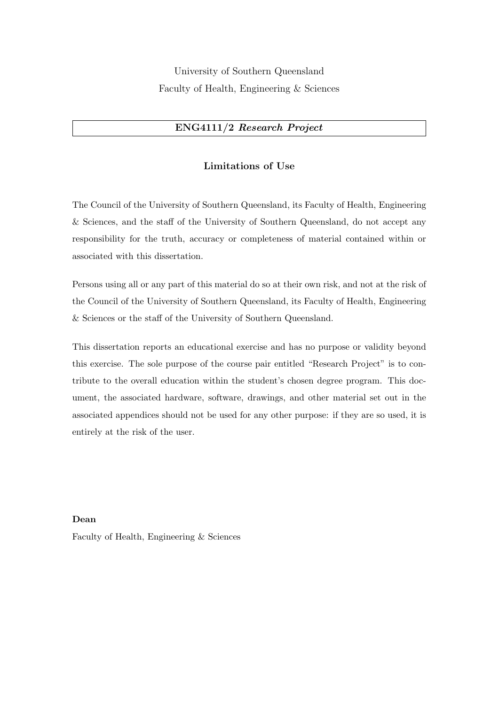University of Southern Queensland Faculty of Health, Engineering & Sciences

### ENG4111/2 Research Project

#### Limitations of Use

The Council of the University of Southern Queensland, its Faculty of Health, Engineering & Sciences, and the staff of the University of Southern Queensland, do not accept any responsibility for the truth, accuracy or completeness of material contained within or associated with this dissertation.

Persons using all or any part of this material do so at their own risk, and not at the risk of the Council of the University of Southern Queensland, its Faculty of Health, Engineering & Sciences or the staff of the University of Southern Queensland.

This dissertation reports an educational exercise and has no purpose or validity beyond this exercise. The sole purpose of the course pair entitled "Research Project" is to contribute to the overall education within the student's chosen degree program. This document, the associated hardware, software, drawings, and other material set out in the associated appendices should not be used for any other purpose: if they are so used, it is entirely at the risk of the user.

Dean Faculty of Health, Engineering & Sciences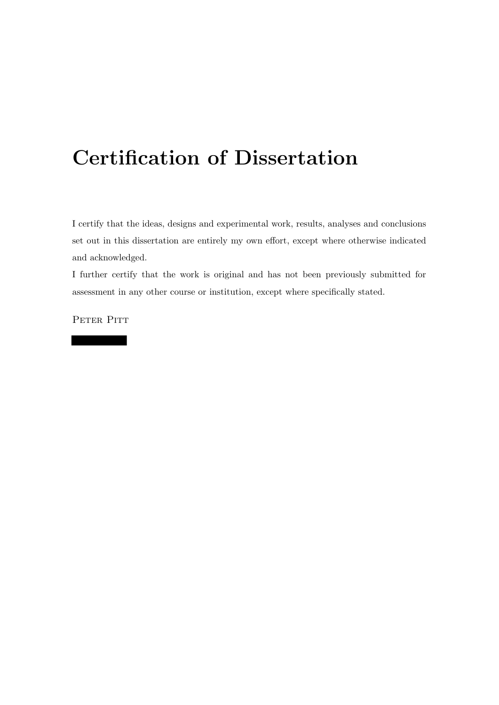# Certification of Dissertation

I certify that the ideas, designs and experimental work, results, analyses and conclusions set out in this dissertation are entirely my own effort, except where otherwise indicated and acknowledged.

I further certify that the work is original and has not been previously submitted for assessment in any other course or institution, except where specifically stated.

PETER PITT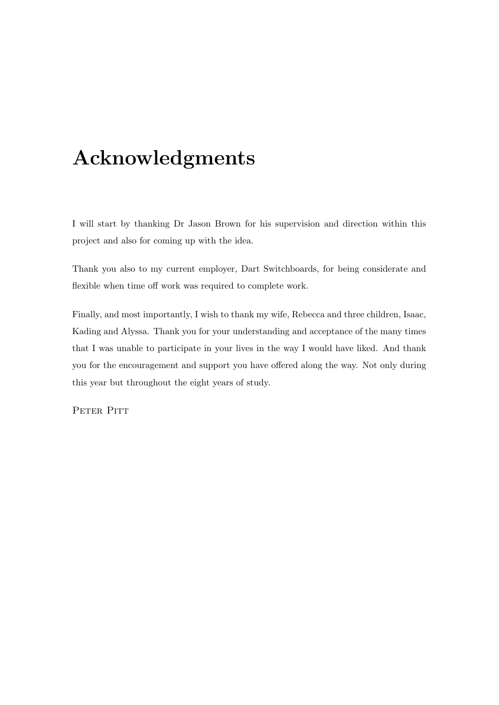# Acknowledgments

I will start by thanking Dr Jason Brown for his supervision and direction within this project and also for coming up with the idea.

Thank you also to my current employer, Dart Switchboards, for being considerate and flexible when time off work was required to complete work.

Finally, and most importantly, I wish to thank my wife, Rebecca and three children, Isaac, Kading and Alyssa. Thank you for your understanding and acceptance of the many times that I was unable to participate in your lives in the way I would have liked. And thank you for the encouragement and support you have offered along the way. Not only during this year but throughout the eight years of study.

PETER PITT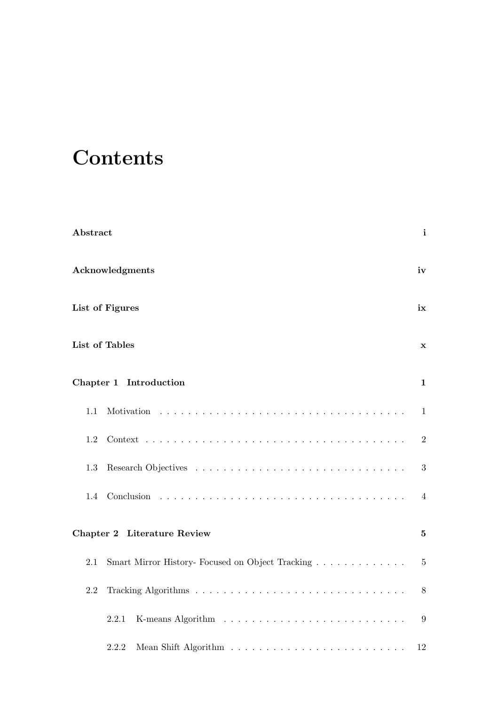# **Contents**

| Abstract |                                                  | $\mathbf{i}$     |
|----------|--------------------------------------------------|------------------|
|          | Acknowledgments                                  | iv               |
|          | List of Figures                                  | ix               |
|          | <b>List of Tables</b>                            | $\mathbf x$      |
|          | Chapter 1 Introduction                           | 1                |
| 1.1      |                                                  | 1                |
| 1.2      |                                                  | $\overline{2}$   |
| 1.3      |                                                  | $\boldsymbol{3}$ |
| 1.4      |                                                  | 4                |
|          | Chapter 2 Literature Review                      | $\mathbf{5}$     |
| 2.1      | Smart Mirror History- Focused on Object Tracking | $\overline{5}$   |
| 2.2      |                                                  | 8                |
|          | 2.2.1                                            | 9                |
|          | 2.2.2                                            | 12               |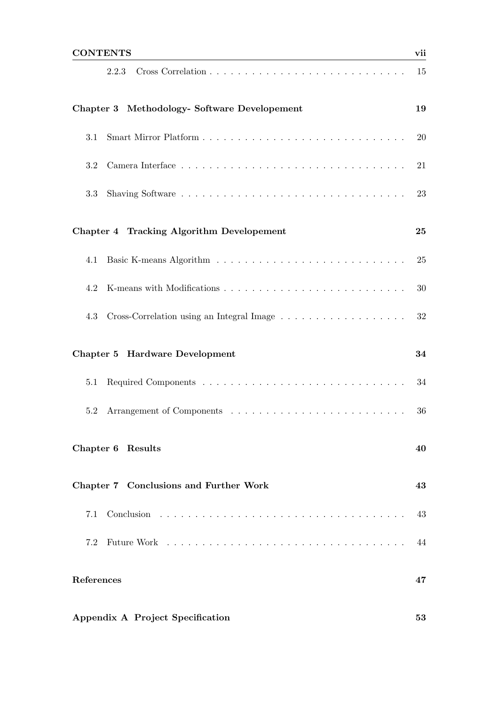| ᡔ <b>ᇰ</b> <sub>ᡃ</sub> ᠇᠇᠇᠇᠇᠇᠇<br>and the control of the control of the control of the control of the control of the control of the control of the                                                                                   |    |
|---------------------------------------------------------------------------------------------------------------------------------------------------------------------------------------------------------------------------------------|----|
| 2.2.3                                                                                                                                                                                                                                 | 15 |
| Chapter 3 Methodology- Software Developement                                                                                                                                                                                          | 19 |
| $3.1\,$                                                                                                                                                                                                                               | 20 |
| 3.2                                                                                                                                                                                                                                   | 21 |
| 3.3                                                                                                                                                                                                                                   | 23 |
| Chapter 4 Tracking Algorithm Developement                                                                                                                                                                                             | 25 |
| 4.1                                                                                                                                                                                                                                   | 25 |
| 4.2                                                                                                                                                                                                                                   | 30 |
| 4.3                                                                                                                                                                                                                                   | 32 |
| Chapter 5 Hardware Development                                                                                                                                                                                                        | 34 |
| 5.1                                                                                                                                                                                                                                   | 34 |
| 5.2                                                                                                                                                                                                                                   | 36 |
| Chapter 6 Results                                                                                                                                                                                                                     | 40 |
| Chapter 7 Conclusions and Further Work                                                                                                                                                                                                | 43 |
| 7.1                                                                                                                                                                                                                                   | 43 |
| 7.2<br>Future Work response to the contract of the contract of the contract of the contract of the contract of the contract of the contract of the contract of the contract of the contract of the contract of the contract of the co | 44 |
| References                                                                                                                                                                                                                            | 47 |
| Appendix A Project Specification                                                                                                                                                                                                      | 53 |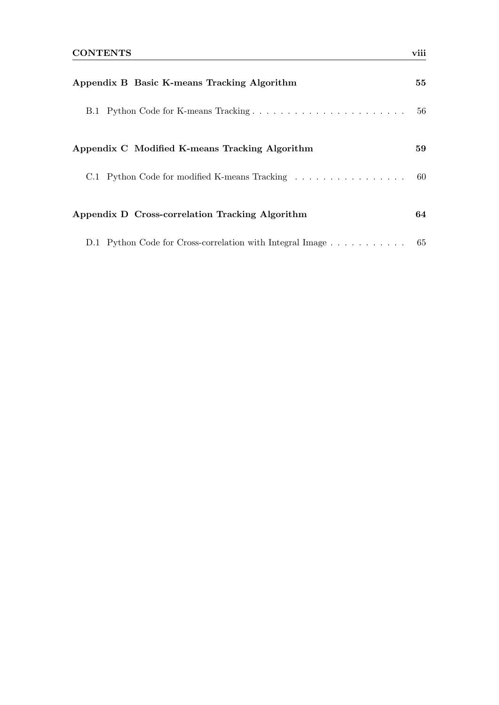| Appendix B Basic K-means Tracking Algorithm                  |    |
|--------------------------------------------------------------|----|
| B.1 Python Code for K-means Tracking                         | 56 |
| Appendix C Modified K-means Tracking Algorithm               | 59 |
| C.1 Python Code for modified K-means Tracking 60             |    |
| Appendix D Cross-correlation Tracking Algorithm              | 64 |
| D.1 Python Code for Cross-correlation with Integral Image 65 |    |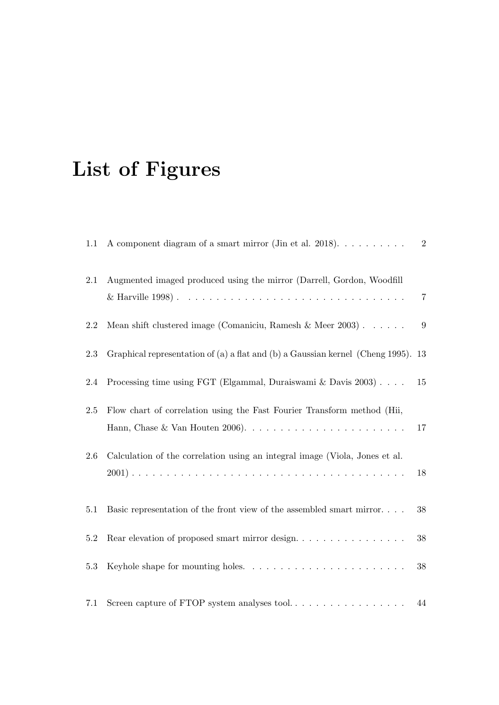# List of Figures

| 1.1     | A component diagram of a smart mirror (Jin et al. 2018). $\dots \dots \dots$      | $\overline{2}$ |
|---------|-----------------------------------------------------------------------------------|----------------|
| 2.1     | Augmented imaged produced using the mirror (Darrell, Gordon, Woodfill             | $\,7$          |
| $2.2\,$ | Mean shift clustered image (Comaniciu, Ramesh & Meer 2003) $\ldots \ldots$        | 9              |
| 2.3     | Graphical representation of (a) a flat and (b) a Gaussian kernel (Cheng 1995). 13 |                |
| 2.4     | Processing time using FGT (Elgammal, Duraiswami & Davis $2003$ )                  | 15             |
| $2.5\,$ | Flow chart of correlation using the Fast Fourier Transform method (Hii,           | 17             |
| $2.6\,$ | Calculation of the correlation using an integral image (Viola, Jones et al.       | 18             |
| $5.1\,$ | Basic representation of the front view of the assembled smart mirror              | 38             |
| $5.2\,$ |                                                                                   | $38\,$         |
| 5.3     |                                                                                   | $38\,$         |
| 7.1     |                                                                                   | 44             |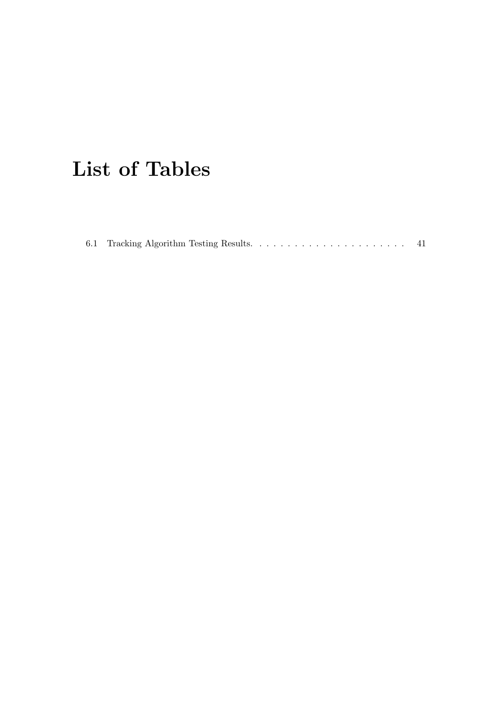# List of Tables

|--|--|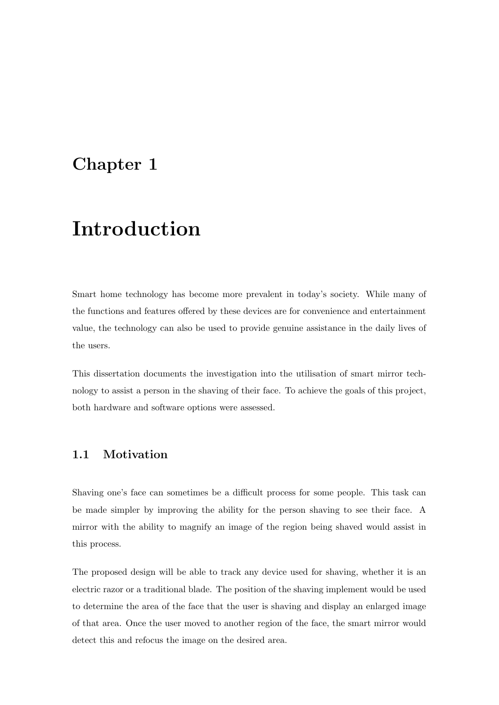### Chapter 1

# Introduction

Smart home technology has become more prevalent in today's society. While many of the functions and features offered by these devices are for convenience and entertainment value, the technology can also be used to provide genuine assistance in the daily lives of the users.

This dissertation documents the investigation into the utilisation of smart mirror technology to assist a person in the shaving of their face. To achieve the goals of this project, both hardware and software options were assessed.

### 1.1 Motivation

Shaving one's face can sometimes be a difficult process for some people. This task can be made simpler by improving the ability for the person shaving to see their face. A mirror with the ability to magnify an image of the region being shaved would assist in this process.

The proposed design will be able to track any device used for shaving, whether it is an electric razor or a traditional blade. The position of the shaving implement would be used to determine the area of the face that the user is shaving and display an enlarged image of that area. Once the user moved to another region of the face, the smart mirror would detect this and refocus the image on the desired area.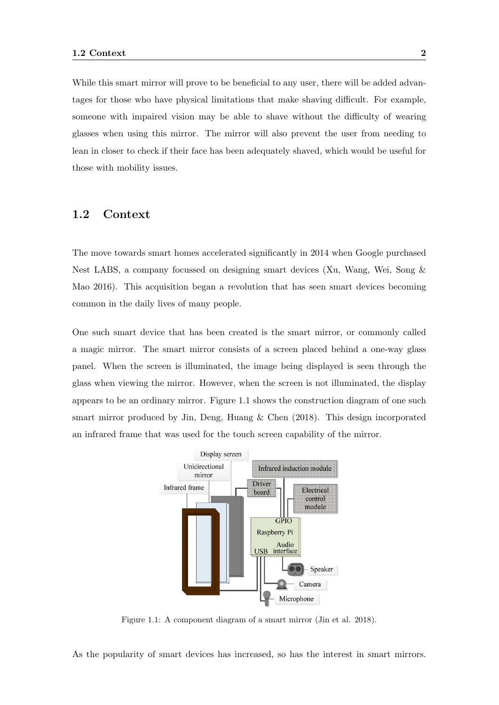While this smart mirror will prove to be beneficial to any user, there will be added advantages for those who have physical limitations that make shaving difficult. For example, someone with impaired vision may be able to shave without the difficulty of wearing glasses when using this mirror. The mirror will also prevent the user from needing to lean in closer to check if their face has been adequately shaved, which would be useful for those with mobility issues.

### 1.2 Context

The move towards smart homes accelerated significantly in 2014 when Google purchased Nest LABS, a company focussed on designing smart devices (Xu, Wang, Wei, Song & Mao 2016). This acquisition began a revolution that has seen smart devices becoming common in the daily lives of many people.

One such smart device that has been created is the smart mirror, or commonly called a magic mirror. The smart mirror consists of a screen placed behind a one-way glass panel. When the screen is illuminated, the image being displayed is seen through the glass when viewing the mirror. However, when the screen is not illuminated, the display appears to be an ordinary mirror. Figure 1.1 shows the construction diagram of one such smart mirror produced by Jin, Deng, Huang  $\&$  Chen (2018). This design incorporated an infrared frame that was used for the touch screen capability of the mirror.



Figure 1.1: A component diagram of a smart mirror (Jin et al. 2018).

As the popularity of smart devices has increased, so has the interest in smart mirrors.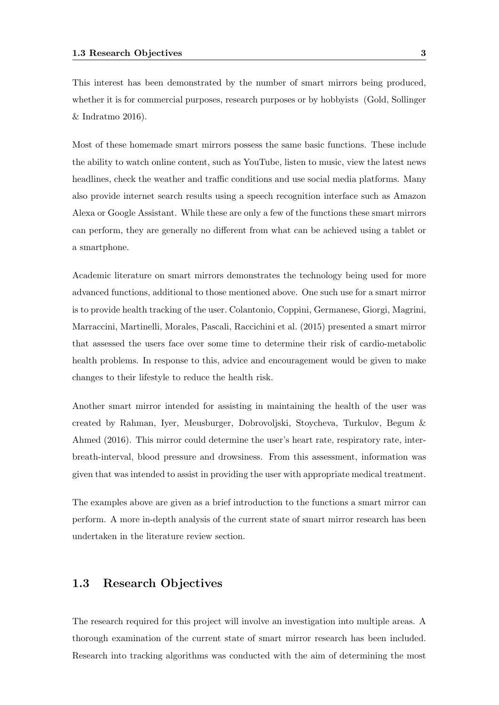This interest has been demonstrated by the number of smart mirrors being produced, whether it is for commercial purposes, research purposes or by hobbyists (Gold, Sollinger & Indratmo 2016).

Most of these homemade smart mirrors possess the same basic functions. These include the ability to watch online content, such as YouTube, listen to music, view the latest news headlines, check the weather and traffic conditions and use social media platforms. Many also provide internet search results using a speech recognition interface such as Amazon Alexa or Google Assistant. While these are only a few of the functions these smart mirrors can perform, they are generally no different from what can be achieved using a tablet or a smartphone.

Academic literature on smart mirrors demonstrates the technology being used for more advanced functions, additional to those mentioned above. One such use for a smart mirror is to provide health tracking of the user. Colantonio, Coppini, Germanese, Giorgi, Magrini, Marraccini, Martinelli, Morales, Pascali, Raccichini et al. (2015) presented a smart mirror that assessed the users face over some time to determine their risk of cardio-metabolic health problems. In response to this, advice and encouragement would be given to make changes to their lifestyle to reduce the health risk.

Another smart mirror intended for assisting in maintaining the health of the user was created by Rahman, Iyer, Meusburger, Dobrovoljski, Stoycheva, Turkulov, Begum & Ahmed (2016). This mirror could determine the user's heart rate, respiratory rate, interbreath-interval, blood pressure and drowsiness. From this assessment, information was given that was intended to assist in providing the user with appropriate medical treatment.

The examples above are given as a brief introduction to the functions a smart mirror can perform. A more in-depth analysis of the current state of smart mirror research has been undertaken in the literature review section.

### 1.3 Research Objectives

The research required for this project will involve an investigation into multiple areas. A thorough examination of the current state of smart mirror research has been included. Research into tracking algorithms was conducted with the aim of determining the most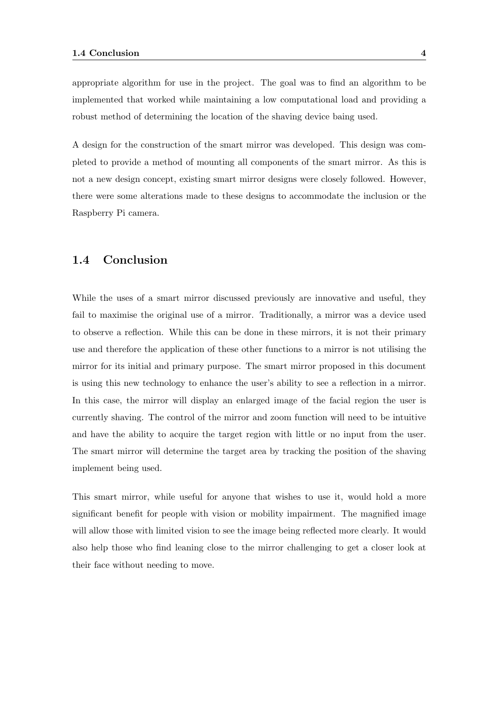appropriate algorithm for use in the project. The goal was to find an algorithm to be implemented that worked while maintaining a low computational load and providing a robust method of determining the location of the shaving device baing used.

A design for the construction of the smart mirror was developed. This design was completed to provide a method of mounting all components of the smart mirror. As this is not a new design concept, existing smart mirror designs were closely followed. However, there were some alterations made to these designs to accommodate the inclusion or the Raspberry Pi camera.

### 1.4 Conclusion

While the uses of a smart mirror discussed previously are innovative and useful, they fail to maximise the original use of a mirror. Traditionally, a mirror was a device used to observe a reflection. While this can be done in these mirrors, it is not their primary use and therefore the application of these other functions to a mirror is not utilising the mirror for its initial and primary purpose. The smart mirror proposed in this document is using this new technology to enhance the user's ability to see a reflection in a mirror. In this case, the mirror will display an enlarged image of the facial region the user is currently shaving. The control of the mirror and zoom function will need to be intuitive and have the ability to acquire the target region with little or no input from the user. The smart mirror will determine the target area by tracking the position of the shaving implement being used.

This smart mirror, while useful for anyone that wishes to use it, would hold a more significant benefit for people with vision or mobility impairment. The magnified image will allow those with limited vision to see the image being reflected more clearly. It would also help those who find leaning close to the mirror challenging to get a closer look at their face without needing to move.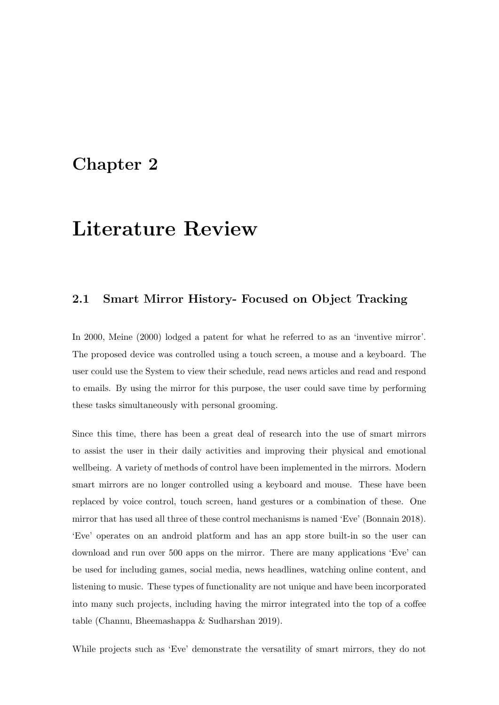### Chapter 2

## Literature Review

### 2.1 Smart Mirror History- Focused on Object Tracking

In 2000, Meine (2000) lodged a patent for what he referred to as an 'inventive mirror'. The proposed device was controlled using a touch screen, a mouse and a keyboard. The user could use the System to view their schedule, read news articles and read and respond to emails. By using the mirror for this purpose, the user could save time by performing these tasks simultaneously with personal grooming.

Since this time, there has been a great deal of research into the use of smart mirrors to assist the user in their daily activities and improving their physical and emotional wellbeing. A variety of methods of control have been implemented in the mirrors. Modern smart mirrors are no longer controlled using a keyboard and mouse. These have been replaced by voice control, touch screen, hand gestures or a combination of these. One mirror that has used all three of these control mechanisms is named 'Eve' (Bonnain 2018). 'Eve' operates on an android platform and has an app store built-in so the user can download and run over 500 apps on the mirror. There are many applications 'Eve' can be used for including games, social media, news headlines, watching online content, and listening to music. These types of functionality are not unique and have been incorporated into many such projects, including having the mirror integrated into the top of a coffee table (Channu, Bheemashappa & Sudharshan 2019).

While projects such as 'Eve' demonstrate the versatility of smart mirrors, they do not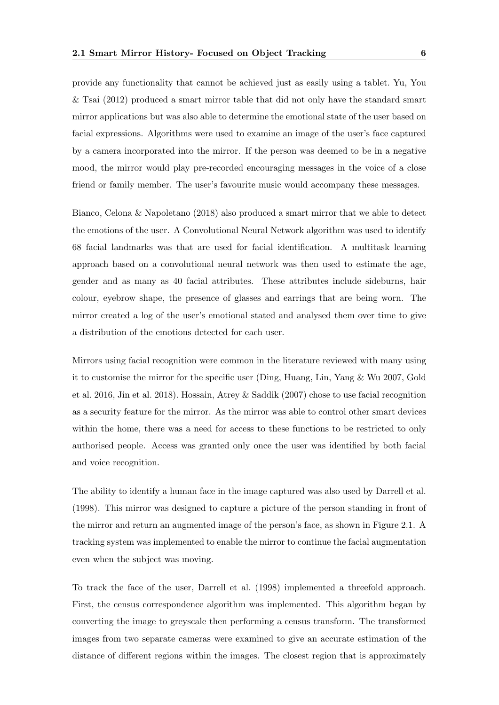provide any functionality that cannot be achieved just as easily using a tablet. Yu, You & Tsai (2012) produced a smart mirror table that did not only have the standard smart mirror applications but was also able to determine the emotional state of the user based on facial expressions. Algorithms were used to examine an image of the user's face captured by a camera incorporated into the mirror. If the person was deemed to be in a negative mood, the mirror would play pre-recorded encouraging messages in the voice of a close friend or family member. The user's favourite music would accompany these messages.

Bianco, Celona & Napoletano (2018) also produced a smart mirror that we able to detect the emotions of the user. A Convolutional Neural Network algorithm was used to identify 68 facial landmarks was that are used for facial identification. A multitask learning approach based on a convolutional neural network was then used to estimate the age, gender and as many as 40 facial attributes. These attributes include sideburns, hair colour, eyebrow shape, the presence of glasses and earrings that are being worn. The mirror created a log of the user's emotional stated and analysed them over time to give a distribution of the emotions detected for each user.

Mirrors using facial recognition were common in the literature reviewed with many using it to customise the mirror for the specific user (Ding, Huang, Lin, Yang & Wu 2007, Gold et al. 2016, Jin et al. 2018). Hossain, Atrey & Saddik (2007) chose to use facial recognition as a security feature for the mirror. As the mirror was able to control other smart devices within the home, there was a need for access to these functions to be restricted to only authorised people. Access was granted only once the user was identified by both facial and voice recognition.

The ability to identify a human face in the image captured was also used by Darrell et al. (1998). This mirror was designed to capture a picture of the person standing in front of the mirror and return an augmented image of the person's face, as shown in Figure 2.1. A tracking system was implemented to enable the mirror to continue the facial augmentation even when the subject was moving.

To track the face of the user, Darrell et al. (1998) implemented a threefold approach. First, the census correspondence algorithm was implemented. This algorithm began by converting the image to greyscale then performing a census transform. The transformed images from two separate cameras were examined to give an accurate estimation of the distance of different regions within the images. The closest region that is approximately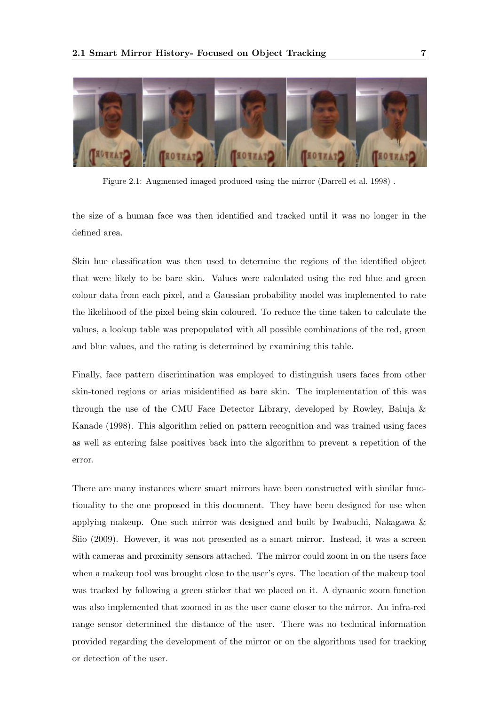

Figure 2.1: Augmented imaged produced using the mirror (Darrell et al. 1998) .

the size of a human face was then identified and tracked until it was no longer in the defined area.

Skin hue classification was then used to determine the regions of the identified object that were likely to be bare skin. Values were calculated using the red blue and green colour data from each pixel, and a Gaussian probability model was implemented to rate the likelihood of the pixel being skin coloured. To reduce the time taken to calculate the values, a lookup table was prepopulated with all possible combinations of the red, green and blue values, and the rating is determined by examining this table.

Finally, face pattern discrimination was employed to distinguish users faces from other skin-toned regions or arias misidentified as bare skin. The implementation of this was through the use of the CMU Face Detector Library, developed by Rowley, Baluja & Kanade (1998). This algorithm relied on pattern recognition and was trained using faces as well as entering false positives back into the algorithm to prevent a repetition of the error.

There are many instances where smart mirrors have been constructed with similar functionality to the one proposed in this document. They have been designed for use when applying makeup. One such mirror was designed and built by Iwabuchi, Nakagawa & Siio (2009). However, it was not presented as a smart mirror. Instead, it was a screen with cameras and proximity sensors attached. The mirror could zoom in on the users face when a makeup tool was brought close to the user's eyes. The location of the makeup tool was tracked by following a green sticker that we placed on it. A dynamic zoom function was also implemented that zoomed in as the user came closer to the mirror. An infra-red range sensor determined the distance of the user. There was no technical information provided regarding the development of the mirror or on the algorithms used for tracking or detection of the user.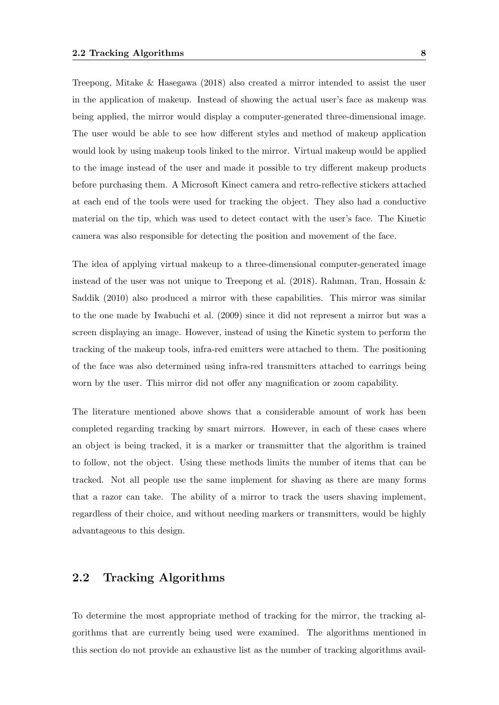Treepong, Mitake & Hasegawa (2018) also created a mirror intended to assist the user in the application of makeup. Instead of showing the actual user's face as makeup was being applied, the mirror would display a computer-generated three-dimensional image. The user would be able to see how different styles and method of makeup application would look by using makeup tools linked to the mirror. Virtual makeup would be applied to the image instead of the user and made it possible to try different makeup products before purchasing them. A Microsoft Kinect camera and retro-reflective stickers attached at each end of the tools were used for tracking the object. They also had a conductive material on the tip, which was used to detect contact with the user's face. The Kinetic camera was also responsible for detecting the position and movement of the face.

The idea of applying virtual makeup to a three-dimensional computer-generated image instead of the user was not unique to Treepong et al. (2018). Rahman, Tran, Hossain & Saddik (2010) also produced a mirror with these capabilities. This mirror was similar to the one made by Iwabuchi et al. (2009) since it did not represent a mirror but was a screen displaying an image. However, instead of using the Kinetic system to perform the tracking of the makeup tools, infra-red emitters were attached to them. The positioning of the face was also determined using infra-red transmitters attached to earrings being worn by the user. This mirror did not offer any magnification or zoom capability.

The literature mentioned above shows that a considerable amount of work has been completed regarding tracking by smart mirrors. However, in each of these cases where an object is being tracked, it is a marker or transmitter that the algorithm is trained to follow, not the object. Using these methods limits the number of items that can be tracked. Not all people use the same implement for shaving as there are many forms that a razor can take. The ability of a mirror to track the users shaving implement, regardless of their choice, and without needing markers or transmitters, would be highly advantageous to this design.

### 2.2 Tracking Algorithms

To determine the most appropriate method of tracking for the mirror, the tracking algorithms that are currently being used were examined. The algorithms mentioned in this section do not provide an exhaustive list as the number of tracking algorithms avail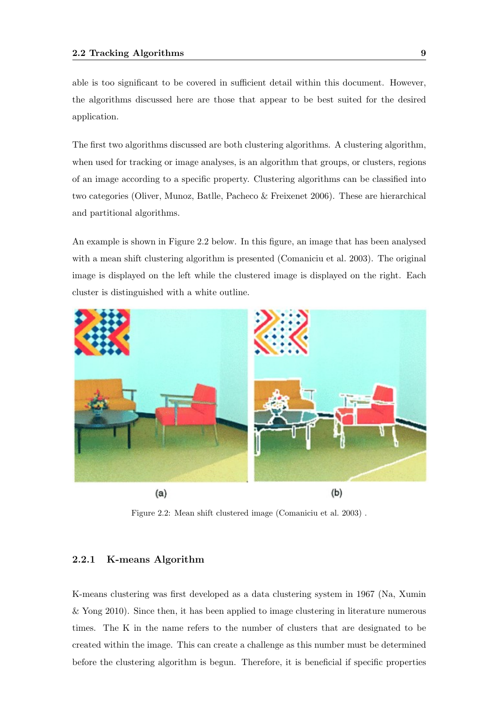able is too significant to be covered in sufficient detail within this document. However, the algorithms discussed here are those that appear to be best suited for the desired application.

The first two algorithms discussed are both clustering algorithms. A clustering algorithm, when used for tracking or image analyses, is an algorithm that groups, or clusters, regions of an image according to a specific property. Clustering algorithms can be classified into two categories (Oliver, Munoz, Batlle, Pacheco & Freixenet 2006). These are hierarchical and partitional algorithms.

An example is shown in Figure 2.2 below. In this figure, an image that has been analysed with a mean shift clustering algorithm is presented (Comaniciu et al. 2003). The original image is displayed on the left while the clustered image is displayed on the right. Each cluster is distinguished with a white outline.



Figure 2.2: Mean shift clustered image (Comaniciu et al. 2003) .

#### 2.2.1 K-means Algorithm

K-means clustering was first developed as a data clustering system in 1967 (Na, Xumin & Yong 2010). Since then, it has been applied to image clustering in literature numerous times. The K in the name refers to the number of clusters that are designated to be created within the image. This can create a challenge as this number must be determined before the clustering algorithm is begun. Therefore, it is beneficial if specific properties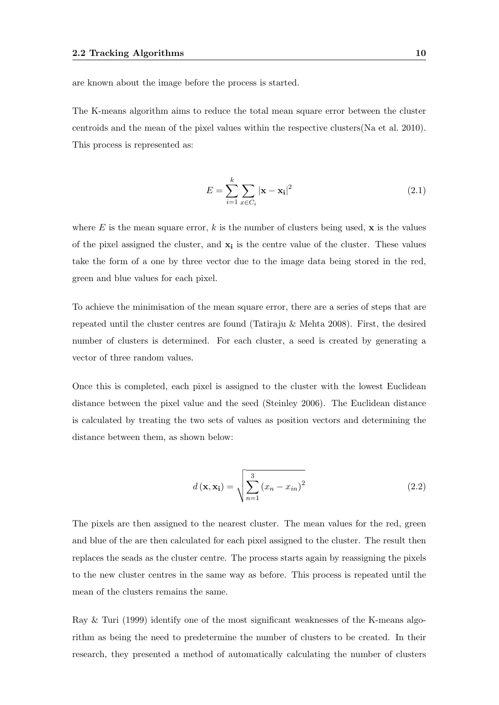are known about the image before the process is started.

The K-means algorithm aims to reduce the total mean square error between the cluster centroids and the mean of the pixel values within the respective clusters(Na et al. 2010). This process is represented as:

$$
E = \sum_{i=1}^{k} \sum_{x \in C_i} |\mathbf{x} - \mathbf{x_i}|^2
$$
 (2.1)

where E is the mean square error,  $k$  is the number of clusters being used,  $\bf{x}$  is the values of the pixel assigned the cluster, and  $x_i$  is the centre value of the cluster. These values take the form of a one by three vector due to the image data being stored in the red, green and blue values for each pixel.

To achieve the minimisation of the mean square error, there are a series of steps that are repeated until the cluster centres are found (Tatiraju & Mehta 2008). First, the desired number of clusters is determined. For each cluster, a seed is created by generating a vector of three random values.

Once this is completed, each pixel is assigned to the cluster with the lowest Euclidean distance between the pixel value and the seed (Steinley 2006). The Euclidean distance is calculated by treating the two sets of values as position vectors and determining the distance between them, as shown below:

$$
d\left(\mathbf{x}, \mathbf{x_i}\right) = \sqrt{\sum_{n=1}^{3} \left(x_n - x_{in}\right)^2}
$$
\n(2.2)

The pixels are then assigned to the nearest cluster. The mean values for the red, green and blue of the are then calculated for each pixel assigned to the cluster. The result then replaces the seads as the cluster centre. The process starts again by reassigning the pixels to the new cluster centres in the same way as before. This process is repeated until the mean of the clusters remains the same.

Ray & Turi (1999) identify one of the most significant weaknesses of the K-means algorithm as being the need to predetermine the number of clusters to be created. In their research, they presented a method of automatically calculating the number of clusters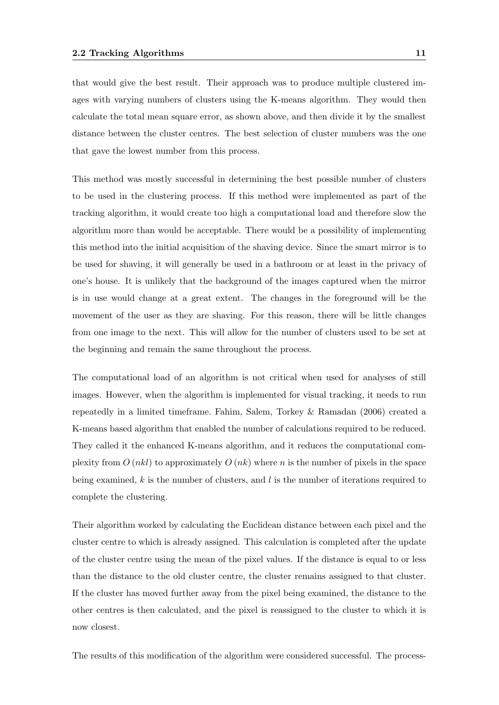that would give the best result. Their approach was to produce multiple clustered images with varying numbers of clusters using the K-means algorithm. They would then calculate the total mean square error, as shown above, and then divide it by the smallest distance between the cluster centres. The best selection of cluster numbers was the one that gave the lowest number from this process.

This method was mostly successful in determining the best possible number of clusters to be used in the clustering process. If this method were implemented as part of the tracking algorithm, it would create too high a computational load and therefore slow the algorithm more than would be acceptable. There would be a possibility of implementing this method into the initial acquisition of the shaving device. Since the smart mirror is to be used for shaving, it will generally be used in a bathroom or at least in the privacy of one's house. It is unlikely that the background of the images captured when the mirror is in use would change at a great extent. The changes in the foreground will be the movement of the user as they are shaving. For this reason, there will be little changes from one image to the next. This will allow for the number of clusters used to be set at the beginning and remain the same throughout the process.

The computational load of an algorithm is not critical when used for analyses of still images. However, when the algorithm is implemented for visual tracking, it needs to run repeatedly in a limited timeframe. Fahim, Salem, Torkey & Ramadan (2006) created a K-means based algorithm that enabled the number of calculations required to be reduced. They called it the enhanced K-means algorithm, and it reduces the computational complexity from  $O(nkl)$  to approximately  $O(nk)$  where n is the number of pixels in the space being examined,  $k$  is the number of clusters, and  $l$  is the number of iterations required to complete the clustering.

Their algorithm worked by calculating the Euclidean distance between each pixel and the cluster centre to which is already assigned. This calculation is completed after the update of the cluster centre using the mean of the pixel values. If the distance is equal to or less than the distance to the old cluster centre, the cluster remains assigned to that cluster. If the cluster has moved further away from the pixel being examined, the distance to the other centres is then calculated, and the pixel is reassigned to the cluster to which it is now closest.

The results of this modification of the algorithm were considered successful. The process-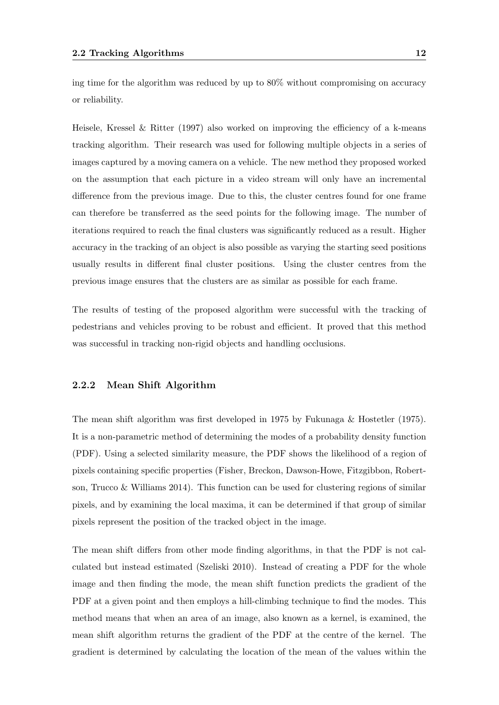ing time for the algorithm was reduced by up to 80% without compromising on accuracy or reliability.

Heisele, Kressel & Ritter (1997) also worked on improving the efficiency of a k-means tracking algorithm. Their research was used for following multiple objects in a series of images captured by a moving camera on a vehicle. The new method they proposed worked on the assumption that each picture in a video stream will only have an incremental difference from the previous image. Due to this, the cluster centres found for one frame can therefore be transferred as the seed points for the following image. The number of iterations required to reach the final clusters was significantly reduced as a result. Higher accuracy in the tracking of an object is also possible as varying the starting seed positions usually results in different final cluster positions. Using the cluster centres from the previous image ensures that the clusters are as similar as possible for each frame.

The results of testing of the proposed algorithm were successful with the tracking of pedestrians and vehicles proving to be robust and efficient. It proved that this method was successful in tracking non-rigid objects and handling occlusions.

### 2.2.2 Mean Shift Algorithm

The mean shift algorithm was first developed in 1975 by Fukunaga & Hostetler (1975). It is a non-parametric method of determining the modes of a probability density function (PDF). Using a selected similarity measure, the PDF shows the likelihood of a region of pixels containing specific properties (Fisher, Breckon, Dawson-Howe, Fitzgibbon, Robertson, Trucco & Williams 2014). This function can be used for clustering regions of similar pixels, and by examining the local maxima, it can be determined if that group of similar pixels represent the position of the tracked object in the image.

The mean shift differs from other mode finding algorithms, in that the PDF is not calculated but instead estimated (Szeliski 2010). Instead of creating a PDF for the whole image and then finding the mode, the mean shift function predicts the gradient of the PDF at a given point and then employs a hill-climbing technique to find the modes. This method means that when an area of an image, also known as a kernel, is examined, the mean shift algorithm returns the gradient of the PDF at the centre of the kernel. The gradient is determined by calculating the location of the mean of the values within the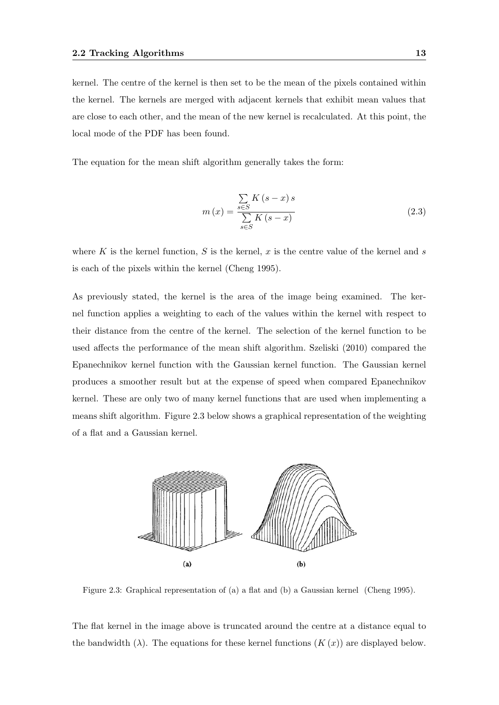kernel. The centre of the kernel is then set to be the mean of the pixels contained within the kernel. The kernels are merged with adjacent kernels that exhibit mean values that are close to each other, and the mean of the new kernel is recalculated. At this point, the local mode of the PDF has been found.

The equation for the mean shift algorithm generally takes the form:

$$
m(x) = \frac{\sum_{s \in S} K(s - x) s}{\sum_{s \in S} K(s - x)}
$$
\n(2.3)

where K is the kernel function, S is the kernel, x is the centre value of the kernel and s is each of the pixels within the kernel (Cheng 1995).

As previously stated, the kernel is the area of the image being examined. The kernel function applies a weighting to each of the values within the kernel with respect to their distance from the centre of the kernel. The selection of the kernel function to be used affects the performance of the mean shift algorithm. Szeliski (2010) compared the Epanechnikov kernel function with the Gaussian kernel function. The Gaussian kernel produces a smoother result but at the expense of speed when compared Epanechnikov kernel. These are only two of many kernel functions that are used when implementing a means shift algorithm. Figure 2.3 below shows a graphical representation of the weighting of a flat and a Gaussian kernel.



Figure 2.3: Graphical representation of (a) a flat and (b) a Gaussian kernel (Cheng 1995).

The flat kernel in the image above is truncated around the centre at a distance equal to the bandwidth  $(\lambda)$ . The equations for these kernel functions  $(K(x))$  are displayed below.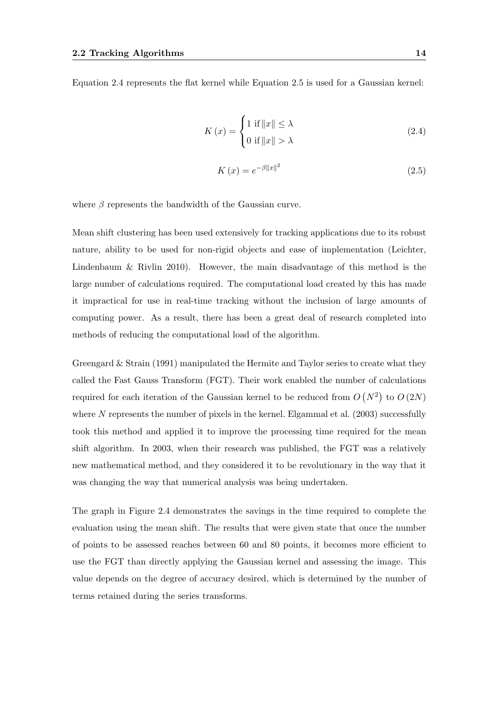Equation 2.4 represents the flat kernel while Equation 2.5 is used for a Gaussian kernel:

$$
K(x) = \begin{cases} 1 \text{ if } ||x|| \le \lambda \\ 0 \text{ if } ||x|| > \lambda \end{cases}
$$
 (2.4)

$$
K\left(x\right) = e^{-\beta \|x\|^2} \tag{2.5}
$$

where  $\beta$  represents the bandwidth of the Gaussian curve.

Mean shift clustering has been used extensively for tracking applications due to its robust nature, ability to be used for non-rigid objects and ease of implementation (Leichter, Lindenbaum & Rivlin 2010). However, the main disadvantage of this method is the large number of calculations required. The computational load created by this has made it impractical for use in real-time tracking without the inclusion of large amounts of computing power. As a result, there has been a great deal of research completed into methods of reducing the computational load of the algorithm.

Greengard  $&$  Strain (1991) manipulated the Hermite and Taylor series to create what they called the Fast Gauss Transform (FGT). Their work enabled the number of calculations required for each iteration of the Gaussian kernel to be reduced from  $O(N^2)$  to  $O(2N)$ where  $N$  represents the number of pixels in the kernel. Elgammal et al. (2003) successfully took this method and applied it to improve the processing time required for the mean shift algorithm. In 2003, when their research was published, the FGT was a relatively new mathematical method, and they considered it to be revolutionary in the way that it was changing the way that numerical analysis was being undertaken.

The graph in Figure 2.4 demonstrates the savings in the time required to complete the evaluation using the mean shift. The results that were given state that once the number of points to be assessed reaches between 60 and 80 points, it becomes more efficient to use the FGT than directly applying the Gaussian kernel and assessing the image. This value depends on the degree of accuracy desired, which is determined by the number of terms retained during the series transforms.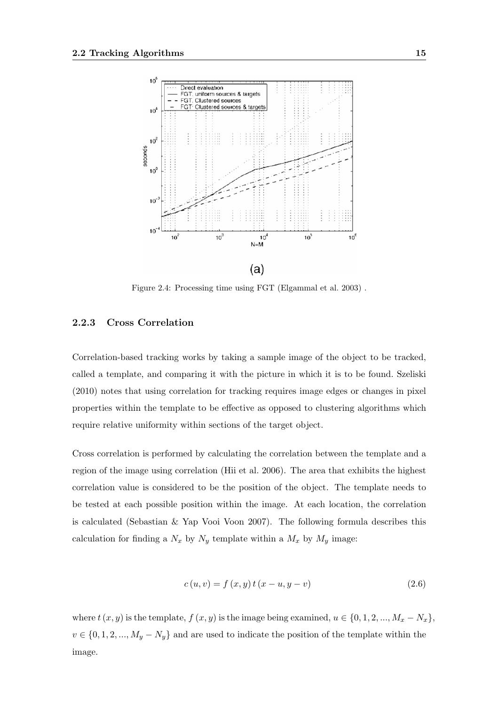

Figure 2.4: Processing time using FGT (Elgammal et al. 2003) .

#### 2.2.3 Cross Correlation

Correlation-based tracking works by taking a sample image of the object to be tracked, called a template, and comparing it with the picture in which it is to be found. Szeliski (2010) notes that using correlation for tracking requires image edges or changes in pixel properties within the template to be effective as opposed to clustering algorithms which require relative uniformity within sections of the target object.

Cross correlation is performed by calculating the correlation between the template and a region of the image using correlation (Hii et al. 2006). The area that exhibits the highest correlation value is considered to be the position of the object. The template needs to be tested at each possible position within the image. At each location, the correlation is calculated (Sebastian & Yap Vooi Voon 2007). The following formula describes this calculation for finding a  $N_x$  by  $N_y$  template within a  $M_x$  by  $M_y$  image:

$$
c(u, v) = f(x, y) t (x - u, y - v)
$$
\n(2.6)

where  $t(x, y)$  is the template,  $f(x, y)$  is the image being examined,  $u \in \{0, 1, 2, ..., M_x - N_x\},$  $v \in \{0, 1, 2, ..., M_y - N_y\}$  and are used to indicate the position of the template within the image.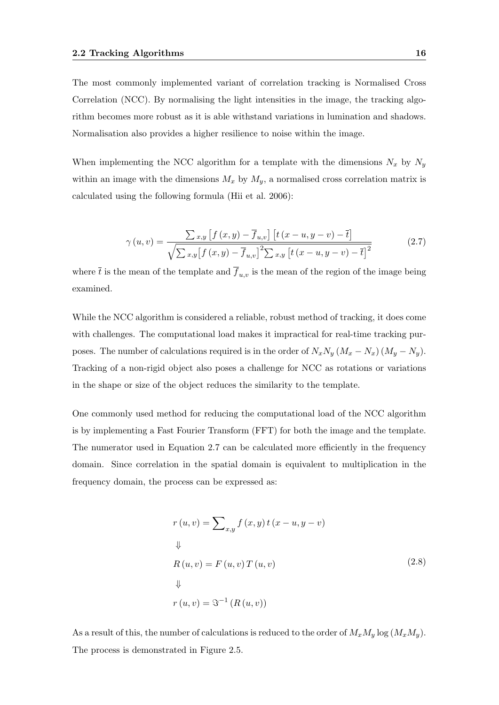The most commonly implemented variant of correlation tracking is Normalised Cross Correlation (NCC). By normalising the light intensities in the image, the tracking algorithm becomes more robust as it is able withstand variations in lumination and shadows. Normalisation also provides a higher resilience to noise within the image.

When implementing the NCC algorithm for a template with the dimensions  $N_x$  by  $N_y$ within an image with the dimensions  $M_x$  by  $M_y$ , a normalised cross correlation matrix is calculated using the following formula (Hii et al. 2006):

$$
\gamma(u,v) = \frac{\sum_{x,y} \left[ f(x,y) - \overline{f}_{u,v} \right] \left[ t \left( x - u, y - v \right) - \overline{t} \right]}{\sqrt{\sum_{x,y} \left[ f(x,y) - \overline{f}_{u,v} \right]^2 \sum_{x,y} \left[ t \left( x - u, y - v \right) - \overline{t} \right]^2}}
$$
(2.7)

where  $\bar{t}$  is the mean of the template and  $\bar{f}_{u,v}$  is the mean of the region of the image being examined.

While the NCC algorithm is considered a reliable, robust method of tracking, it does come with challenges. The computational load makes it impractical for real-time tracking purposes. The number of calculations required is in the order of  $N_xN_y (M_x - N_x) (M_y - N_y)$ . Tracking of a non-rigid object also poses a challenge for NCC as rotations or variations in the shape or size of the object reduces the similarity to the template.

One commonly used method for reducing the computational load of the NCC algorithm is by implementing a Fast Fourier Transform (FFT) for both the image and the template. The numerator used in Equation 2.7 can be calculated more efficiently in the frequency domain. Since correlation in the spatial domain is equivalent to multiplication in the frequency domain, the process can be expressed as:

$$
r(u, v) = \sum_{x,y} f(x, y) t (x - u, y - v)
$$
  

$$
\Downarrow
$$
  

$$
R(u, v) = F(u, v) T(u, v)
$$
  

$$
\Downarrow
$$
  

$$
r(u, v) = \mathfrak{F}^{-1} (R(u, v))
$$
  
(2.8)

As a result of this, the number of calculations is reduced to the order of  $M_xM_y \log(M_xM_y)$ . The process is demonstrated in Figure 2.5.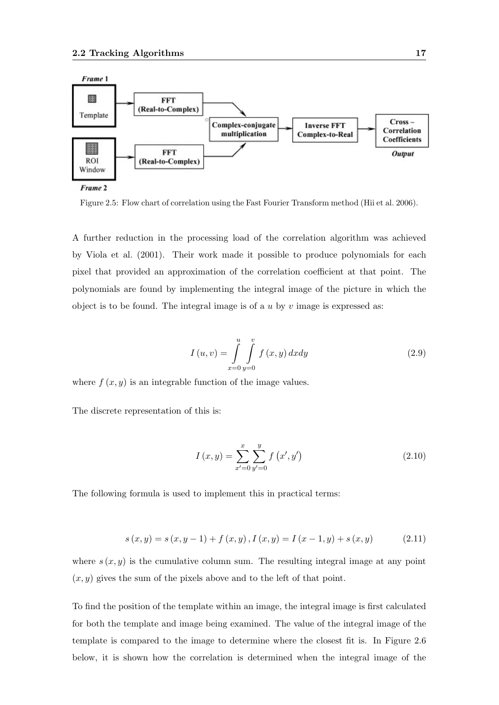

Frame 2

Figure 2.5: Flow chart of correlation using the Fast Fourier Transform method (Hii et al. 2006).

A further reduction in the processing load of the correlation algorithm was achieved by Viola et al. (2001). Their work made it possible to produce polynomials for each pixel that provided an approximation of the correlation coefficient at that point. The polynomials are found by implementing the integral image of the picture in which the object is to be found. The integral image is of a  $u$  by  $v$  image is expressed as:

$$
I(u, v) = \int_{x=0}^{u} \int_{y=0}^{v} f(x, y) dx dy
$$
 (2.9)

where  $f(x, y)$  is an integrable function of the image values.

The discrete representation of this is:

$$
I(x,y) = \sum_{x'=0}^{x} \sum_{y'=0}^{y} f(x', y')
$$
\n(2.10)

The following formula is used to implement this in practical terms:

$$
s(x, y) = s(x, y - 1) + f(x, y), I(x, y) = I(x - 1, y) + s(x, y)
$$
\n(2.11)

where  $s(x, y)$  is the cumulative column sum. The resulting integral image at any point  $(x, y)$  gives the sum of the pixels above and to the left of that point.

To find the position of the template within an image, the integral image is first calculated for both the template and image being examined. The value of the integral image of the template is compared to the image to determine where the closest fit is. In Figure 2.6 below, it is shown how the correlation is determined when the integral image of the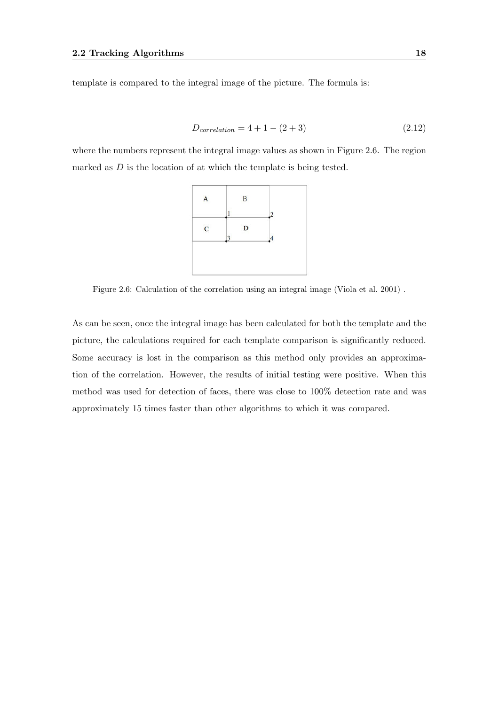template is compared to the integral image of the picture. The formula is:

$$
D_{correlation} = 4 + 1 - (2 + 3)
$$
\n(2.12)

where the numbers represent the integral image values as shown in Figure 2.6. The region marked as  $D$  is the location of at which the template is being tested.



Figure 2.6: Calculation of the correlation using an integral image (Viola et al. 2001) .

As can be seen, once the integral image has been calculated for both the template and the picture, the calculations required for each template comparison is significantly reduced. Some accuracy is lost in the comparison as this method only provides an approximation of the correlation. However, the results of initial testing were positive. When this method was used for detection of faces, there was close to 100% detection rate and was approximately 15 times faster than other algorithms to which it was compared.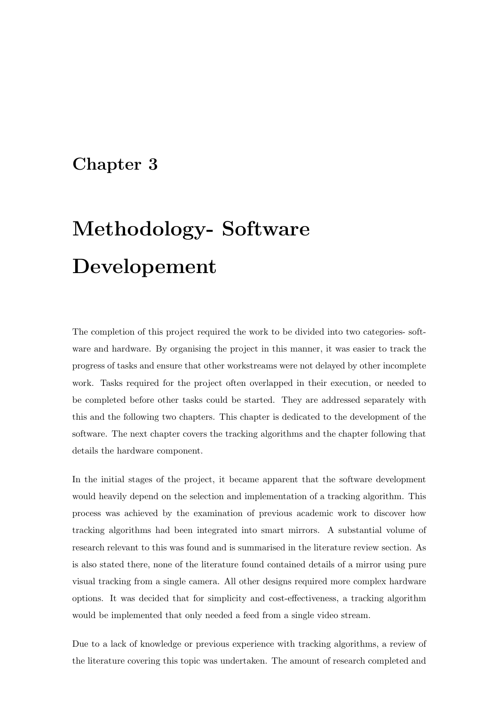### Chapter 3

# Methodology- Software Developement

The completion of this project required the work to be divided into two categories- software and hardware. By organising the project in this manner, it was easier to track the progress of tasks and ensure that other workstreams were not delayed by other incomplete work. Tasks required for the project often overlapped in their execution, or needed to be completed before other tasks could be started. They are addressed separately with this and the following two chapters. This chapter is dedicated to the development of the software. The next chapter covers the tracking algorithms and the chapter following that details the hardware component.

In the initial stages of the project, it became apparent that the software development would heavily depend on the selection and implementation of a tracking algorithm. This process was achieved by the examination of previous academic work to discover how tracking algorithms had been integrated into smart mirrors. A substantial volume of research relevant to this was found and is summarised in the literature review section. As is also stated there, none of the literature found contained details of a mirror using pure visual tracking from a single camera. All other designs required more complex hardware options. It was decided that for simplicity and cost-effectiveness, a tracking algorithm would be implemented that only needed a feed from a single video stream.

Due to a lack of knowledge or previous experience with tracking algorithms, a review of the literature covering this topic was undertaken. The amount of research completed and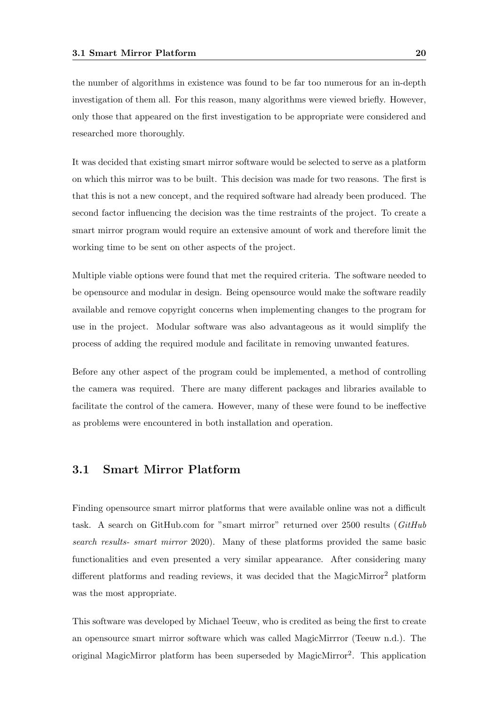the number of algorithms in existence was found to be far too numerous for an in-depth investigation of them all. For this reason, many algorithms were viewed briefly. However, only those that appeared on the first investigation to be appropriate were considered and researched more thoroughly.

It was decided that existing smart mirror software would be selected to serve as a platform on which this mirror was to be built. This decision was made for two reasons. The first is that this is not a new concept, and the required software had already been produced. The second factor influencing the decision was the time restraints of the project. To create a smart mirror program would require an extensive amount of work and therefore limit the working time to be sent on other aspects of the project.

Multiple viable options were found that met the required criteria. The software needed to be opensource and modular in design. Being opensource would make the software readily available and remove copyright concerns when implementing changes to the program for use in the project. Modular software was also advantageous as it would simplify the process of adding the required module and facilitate in removing unwanted features.

Before any other aspect of the program could be implemented, a method of controlling the camera was required. There are many different packages and libraries available to facilitate the control of the camera. However, many of these were found to be ineffective as problems were encountered in both installation and operation.

### 3.1 Smart Mirror Platform

Finding opensource smart mirror platforms that were available online was not a difficult task. A search on GitHub.com for "smart mirror" returned over 2500 results (GitHub search results- smart mirror 2020). Many of these platforms provided the same basic functionalities and even presented a very similar appearance. After considering many different platforms and reading reviews, it was decided that the MagicMirror<sup>2</sup> platform was the most appropriate.

This software was developed by Michael Teeuw, who is credited as being the first to create an opensource smart mirror software which was called MagicMirrror (Teeuw n.d.). The original MagicMirror platform has been superseded by MagicMirror<sup>2</sup>. This application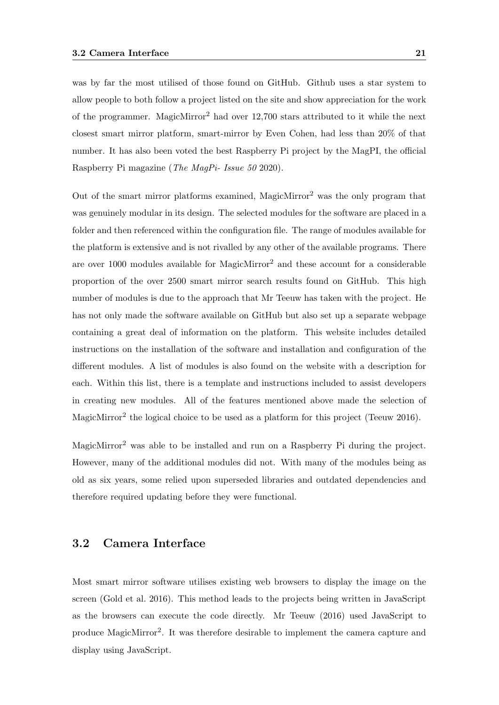was by far the most utilised of those found on GitHub. Github uses a star system to allow people to both follow a project listed on the site and show appreciation for the work of the programmer. MagicMirror<sup>2</sup> had over 12,700 stars attributed to it while the next closest smart mirror platform, smart-mirror by Even Cohen, had less than 20% of that number. It has also been voted the best Raspberry Pi project by the MagPI, the official Raspberry Pi magazine (The MagPi- Issue 50 2020).

Out of the smart mirror platforms examined, MagicMirror<sup>2</sup> was the only program that was genuinely modular in its design. The selected modules for the software are placed in a folder and then referenced within the configuration file. The range of modules available for the platform is extensive and is not rivalled by any other of the available programs. There are over 1000 modules available for MagicMirror<sup>2</sup> and these account for a considerable proportion of the over 2500 smart mirror search results found on GitHub. This high number of modules is due to the approach that Mr Teeuw has taken with the project. He has not only made the software available on GitHub but also set up a separate webpage containing a great deal of information on the platform. This website includes detailed instructions on the installation of the software and installation and configuration of the different modules. A list of modules is also found on the website with a description for each. Within this list, there is a template and instructions included to assist developers in creating new modules. All of the features mentioned above made the selection of MagicMirror<sup>2</sup> the logical choice to be used as a platform for this project (Teeuw 2016).

MagicMirror<sup>2</sup> was able to be installed and run on a Raspberry Pi during the project. However, many of the additional modules did not. With many of the modules being as old as six years, some relied upon superseded libraries and outdated dependencies and therefore required updating before they were functional.

### 3.2 Camera Interface

Most smart mirror software utilises existing web browsers to display the image on the screen (Gold et al. 2016). This method leads to the projects being written in JavaScript as the browsers can execute the code directly. Mr Teeuw (2016) used JavaScript to produce MagicMirror<sup>2</sup>. It was therefore desirable to implement the camera capture and display using JavaScript.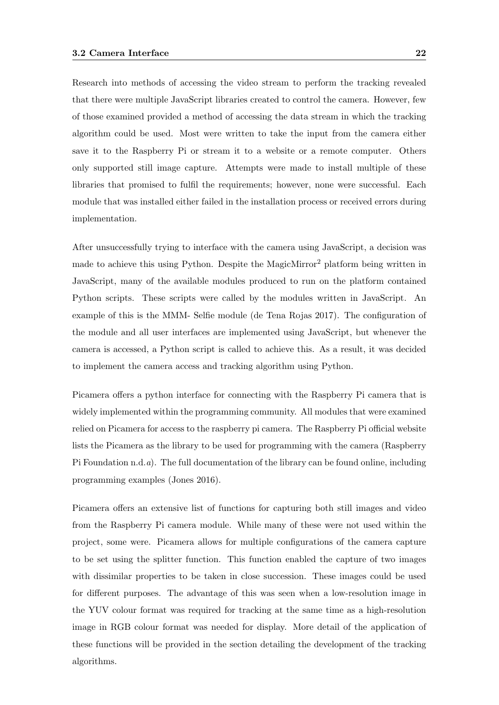Research into methods of accessing the video stream to perform the tracking revealed that there were multiple JavaScript libraries created to control the camera. However, few of those examined provided a method of accessing the data stream in which the tracking algorithm could be used. Most were written to take the input from the camera either save it to the Raspberry Pi or stream it to a website or a remote computer. Others only supported still image capture. Attempts were made to install multiple of these libraries that promised to fulfil the requirements; however, none were successful. Each module that was installed either failed in the installation process or received errors during implementation.

After unsuccessfully trying to interface with the camera using JavaScript, a decision was made to achieve this using Python. Despite the MagicMirror<sup>2</sup> platform being written in JavaScript, many of the available modules produced to run on the platform contained Python scripts. These scripts were called by the modules written in JavaScript. An example of this is the MMM- Selfie module (de Tena Rojas 2017). The configuration of the module and all user interfaces are implemented using JavaScript, but whenever the camera is accessed, a Python script is called to achieve this. As a result, it was decided to implement the camera access and tracking algorithm using Python.

Picamera offers a python interface for connecting with the Raspberry Pi camera that is widely implemented within the programming community. All modules that were examined relied on Picamera for access to the raspberry pi camera. The Raspberry Pi official website lists the Picamera as the library to be used for programming with the camera (Raspberry Pi Foundation n.d.a). The full documentation of the library can be found online, including programming examples (Jones 2016).

Picamera offers an extensive list of functions for capturing both still images and video from the Raspberry Pi camera module. While many of these were not used within the project, some were. Picamera allows for multiple configurations of the camera capture to be set using the splitter function. This function enabled the capture of two images with dissimilar properties to be taken in close succession. These images could be used for different purposes. The advantage of this was seen when a low-resolution image in the YUV colour format was required for tracking at the same time as a high-resolution image in RGB colour format was needed for display. More detail of the application of these functions will be provided in the section detailing the development of the tracking algorithms.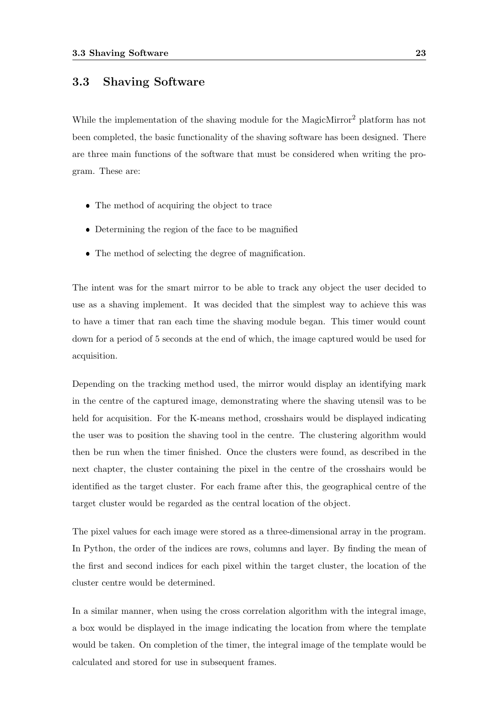### 3.3 Shaving Software

While the implementation of the shaving module for the MagicMirror<sup>2</sup> platform has not been completed, the basic functionality of the shaving software has been designed. There are three main functions of the software that must be considered when writing the program. These are:

- The method of acquiring the object to trace
- Determining the region of the face to be magnified
- The method of selecting the degree of magnification.

The intent was for the smart mirror to be able to track any object the user decided to use as a shaving implement. It was decided that the simplest way to achieve this was to have a timer that ran each time the shaving module began. This timer would count down for a period of 5 seconds at the end of which, the image captured would be used for acquisition.

Depending on the tracking method used, the mirror would display an identifying mark in the centre of the captured image, demonstrating where the shaving utensil was to be held for acquisition. For the K-means method, crosshairs would be displayed indicating the user was to position the shaving tool in the centre. The clustering algorithm would then be run when the timer finished. Once the clusters were found, as described in the next chapter, the cluster containing the pixel in the centre of the crosshairs would be identified as the target cluster. For each frame after this, the geographical centre of the target cluster would be regarded as the central location of the object.

The pixel values for each image were stored as a three-dimensional array in the program. In Python, the order of the indices are rows, columns and layer. By finding the mean of the first and second indices for each pixel within the target cluster, the location of the cluster centre would be determined.

In a similar manner, when using the cross correlation algorithm with the integral image, a box would be displayed in the image indicating the location from where the template would be taken. On completion of the timer, the integral image of the template would be calculated and stored for use in subsequent frames.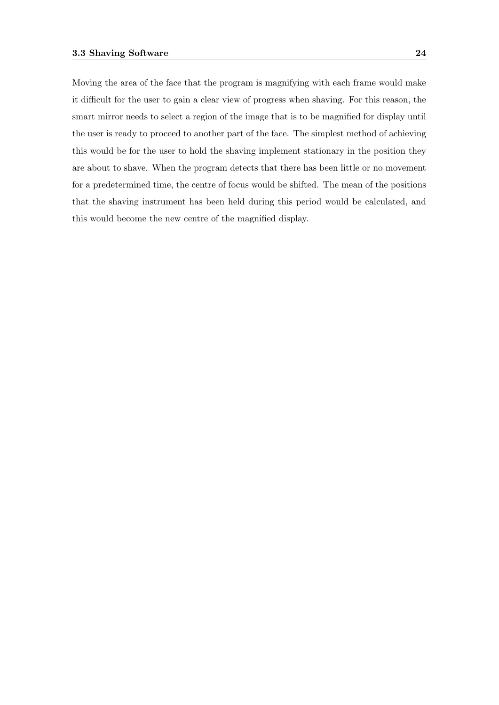Moving the area of the face that the program is magnifying with each frame would make it difficult for the user to gain a clear view of progress when shaving. For this reason, the smart mirror needs to select a region of the image that is to be magnified for display until the user is ready to proceed to another part of the face. The simplest method of achieving this would be for the user to hold the shaving implement stationary in the position they are about to shave. When the program detects that there has been little or no movement for a predetermined time, the centre of focus would be shifted. The mean of the positions that the shaving instrument has been held during this period would be calculated, and this would become the new centre of the magnified display.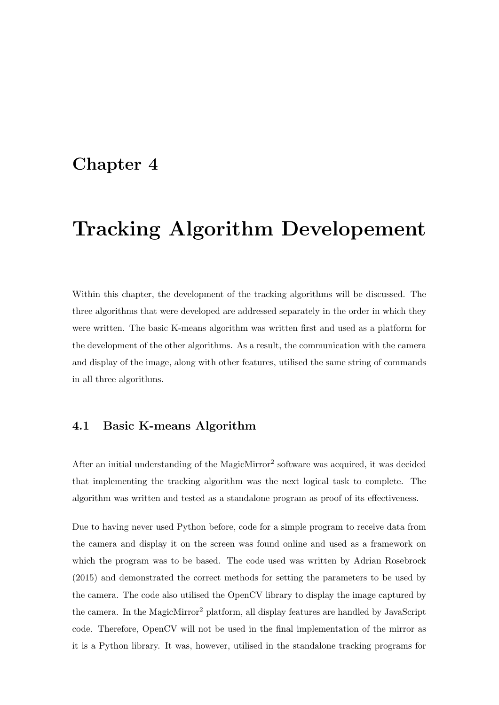### Chapter 4

# Tracking Algorithm Developement

Within this chapter, the development of the tracking algorithms will be discussed. The three algorithms that were developed are addressed separately in the order in which they were written. The basic K-means algorithm was written first and used as a platform for the development of the other algorithms. As a result, the communication with the camera and display of the image, along with other features, utilised the same string of commands in all three algorithms.

### 4.1 Basic K-means Algorithm

After an initial understanding of the MagicMirror<sup>2</sup> software was acquired, it was decided that implementing the tracking algorithm was the next logical task to complete. The algorithm was written and tested as a standalone program as proof of its effectiveness.

Due to having never used Python before, code for a simple program to receive data from the camera and display it on the screen was found online and used as a framework on which the program was to be based. The code used was written by Adrian Rosebrock (2015) and demonstrated the correct methods for setting the parameters to be used by the camera. The code also utilised the OpenCV library to display the image captured by the camera. In the MagicMirror<sup>2</sup> platform, all display features are handled by JavaScript code. Therefore, OpenCV will not be used in the final implementation of the mirror as it is a Python library. It was, however, utilised in the standalone tracking programs for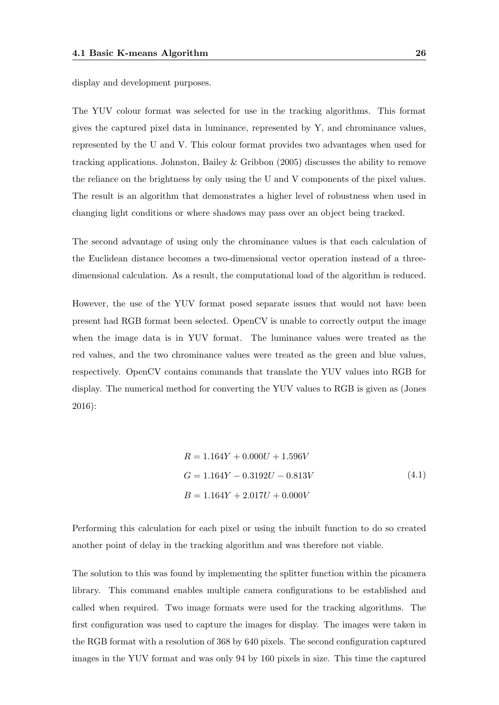display and development purposes.

The YUV colour format was selected for use in the tracking algorithms. This format gives the captured pixel data in luminance, represented by Y, and chrominance values, represented by the U and V. This colour format provides two advantages when used for tracking applications. Johnston, Bailey & Gribbon (2005) discusses the ability to remove the reliance on the brightness by only using the U and V components of the pixel values. The result is an algorithm that demonstrates a higher level of robustness when used in changing light conditions or where shadows may pass over an object being tracked.

The second advantage of using only the chrominance values is that each calculation of the Euclidean distance becomes a two-dimensional vector operation instead of a threedimensional calculation. As a result, the computational load of the algorithm is reduced.

However, the use of the YUV format posed separate issues that would not have been present had RGB format been selected. OpenCV is unable to correctly output the image when the image data is in YUV format. The luminance values were treated as the red values, and the two chrominance values were treated as the green and blue values, respectively. OpenCV contains commands that translate the YUV values into RGB for display. The numerical method for converting the YUV values to RGB is given as (Jones 2016):

$$
R = 1.164Y + 0.000U + 1.596V
$$
  
\n
$$
G = 1.164Y - 0.3192U - 0.813V
$$
  
\n
$$
B = 1.164Y + 2.017U + 0.000V
$$
  
\n(4.1)

Performing this calculation for each pixel or using the inbuilt function to do so created another point of delay in the tracking algorithm and was therefore not viable.

The solution to this was found by implementing the splitter function within the picamera library. This command enables multiple camera configurations to be established and called when required. Two image formats were used for the tracking algorithms. The first configuration was used to capture the images for display. The images were taken in the RGB format with a resolution of 368 by 640 pixels. The second configuration captured images in the YUV format and was only 94 by 160 pixels in size. This time the captured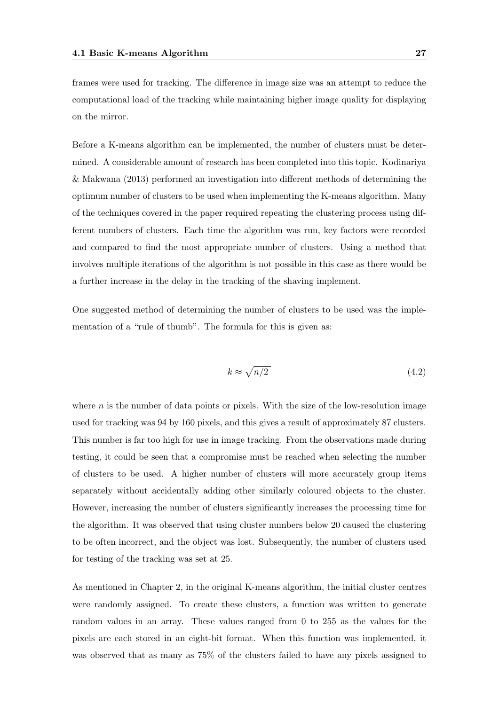frames were used for tracking. The difference in image size was an attempt to reduce the computational load of the tracking while maintaining higher image quality for displaying on the mirror.

Before a K-means algorithm can be implemented, the number of clusters must be determined. A considerable amount of research has been completed into this topic. Kodinariya & Makwana (2013) performed an investigation into different methods of determining the optimum number of clusters to be used when implementing the K-means algorithm. Many of the techniques covered in the paper required repeating the clustering process using different numbers of clusters. Each time the algorithm was run, key factors were recorded and compared to find the most appropriate number of clusters. Using a method that involves multiple iterations of the algorithm is not possible in this case as there would be a further increase in the delay in the tracking of the shaving implement.

One suggested method of determining the number of clusters to be used was the implementation of a "rule of thumb". The formula for this is given as:

$$
k \approx \sqrt{n/2} \tag{4.2}
$$

where  $n$  is the number of data points or pixels. With the size of the low-resolution image used for tracking was 94 by 160 pixels, and this gives a result of approximately 87 clusters. This number is far too high for use in image tracking. From the observations made during testing, it could be seen that a compromise must be reached when selecting the number of clusters to be used. A higher number of clusters will more accurately group items separately without accidentally adding other similarly coloured objects to the cluster. However, increasing the number of clusters significantly increases the processing time for the algorithm. It was observed that using cluster numbers below 20 caused the clustering to be often incorrect, and the object was lost. Subsequently, the number of clusters used for testing of the tracking was set at 25.

As mentioned in Chapter 2, in the original K-means algorithm, the initial cluster centres were randomly assigned. To create these clusters, a function was written to generate random values in an array. These values ranged from 0 to 255 as the values for the pixels are each stored in an eight-bit format. When this function was implemented, it was observed that as many as 75% of the clusters failed to have any pixels assigned to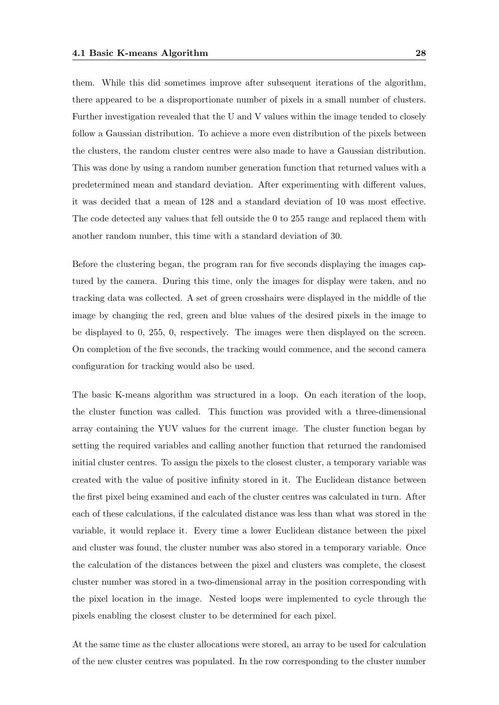them. While this did sometimes improve after subsequent iterations of the algorithm, there appeared to be a disproportionate number of pixels in a small number of clusters. Further investigation revealed that the U and V values within the image tended to closely follow a Gaussian distribution. To achieve a more even distribution of the pixels between the clusters, the random cluster centres were also made to have a Gaussian distribution. This was done by using a random number generation function that returned values with a predetermined mean and standard deviation. After experimenting with different values, it was decided that a mean of 128 and a standard deviation of 10 was most effective. The code detected any values that fell outside the 0 to 255 range and replaced them with another random number, this time with a standard deviation of 30.

Before the clustering began, the program ran for five seconds displaying the images captured by the camera. During this time, only the images for display were taken, and no tracking data was collected. A set of green crosshairs were displayed in the middle of the image by changing the red, green and blue values of the desired pixels in the image to be displayed to 0, 255, 0, respectively. The images were then displayed on the screen. On completion of the five seconds, the tracking would commence, and the second camera configuration for tracking would also be used.

The basic K-means algorithm was structured in a loop. On each iteration of the loop, the cluster function was called. This function was provided with a three-dimensional array containing the YUV values for the current image. The cluster function began by setting the required variables and calling another function that returned the randomised initial cluster centres. To assign the pixels to the closest cluster, a temporary variable was created with the value of positive infinity stored in it. The Euclidean distance between the first pixel being examined and each of the cluster centres was calculated in turn. After each of these calculations, if the calculated distance was less than what was stored in the variable, it would replace it. Every time a lower Euclidean distance between the pixel and cluster was found, the cluster number was also stored in a temporary variable. Once the calculation of the distances between the pixel and clusters was complete, the closest cluster number was stored in a two-dimensional array in the position corresponding with the pixel location in the image. Nested loops were implemented to cycle through the pixels enabling the closest cluster to be determined for each pixel.

At the same time as the cluster allocations were stored, an array to be used for calculation of the new cluster centres was populated. In the row corresponding to the cluster number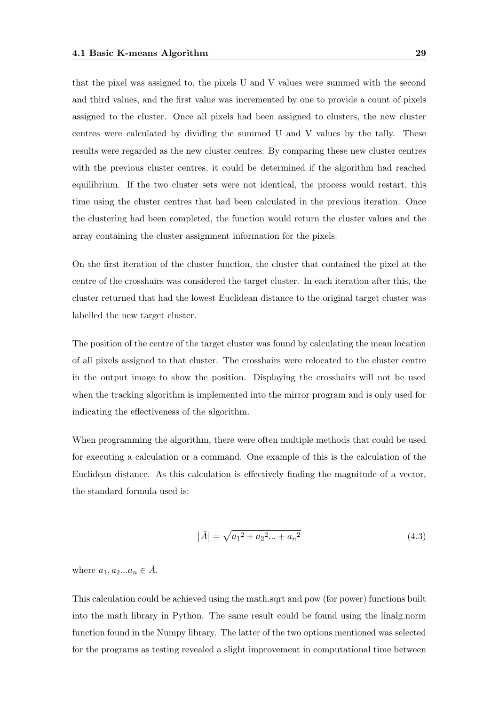that the pixel was assigned to, the pixels U and V values were summed with the second and third values, and the first value was incremented by one to provide a count of pixels assigned to the cluster. Once all pixels had been assigned to clusters, the new cluster centres were calculated by dividing the summed U and V values by the tally. These results were regarded as the new cluster centres. By comparing these new cluster centres with the previous cluster centres, it could be determined if the algorithm had reached equilibrium. If the two cluster sets were not identical, the process would restart, this time using the cluster centres that had been calculated in the previous iteration. Once the clustering had been completed, the function would return the cluster values and the array containing the cluster assignment information for the pixels.

On the first iteration of the cluster function, the cluster that contained the pixel at the centre of the crosshairs was considered the target cluster. In each iteration after this, the cluster returned that had the lowest Euclidean distance to the original target cluster was labelled the new target cluster.

The position of the centre of the target cluster was found by calculating the mean location of all pixels assigned to that cluster. The crosshairs were relocated to the cluster centre in the output image to show the position. Displaying the crosshairs will not be used when the tracking algorithm is implemented into the mirror program and is only used for indicating the effectiveness of the algorithm.

When programming the algorithm, there were often multiple methods that could be used for executing a calculation or a command. One example of this is the calculation of the Euclidean distance. As this calculation is effectively finding the magnitude of a vector, the standard formula used is:

$$
|\bar{A}| = \sqrt{a_1^2 + a_2^2 \dots + a_n^2}
$$
 (4.3)

where  $a_1, a_2... a_n \in \overline{A}$ .

This calculation could be achieved using the math.sqrt and pow (for power) functions built into the math library in Python. The same result could be found using the linalg.norm function found in the Numpy library. The latter of the two options mentioned was selected for the programs as testing revealed a slight improvement in computational time between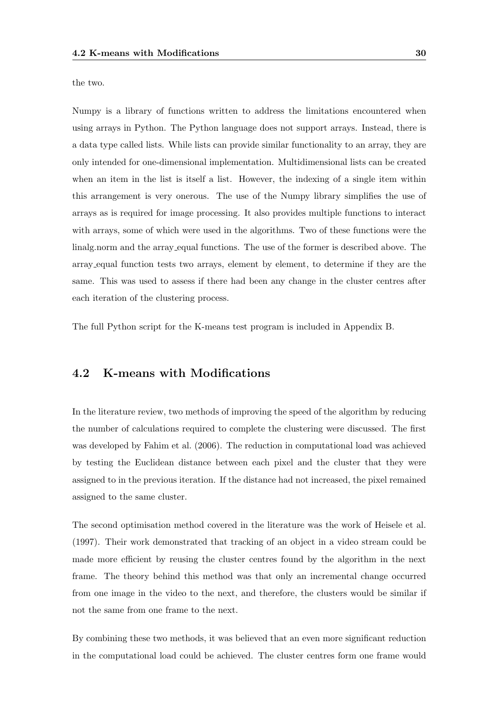the two.

Numpy is a library of functions written to address the limitations encountered when using arrays in Python. The Python language does not support arrays. Instead, there is a data type called lists. While lists can provide similar functionality to an array, they are only intended for one-dimensional implementation. Multidimensional lists can be created when an item in the list is itself a list. However, the indexing of a single item within this arrangement is very onerous. The use of the Numpy library simplifies the use of arrays as is required for image processing. It also provides multiple functions to interact with arrays, some of which were used in the algorithms. Two of these functions were the linalg.norm and the array equal functions. The use of the former is described above. The array equal function tests two arrays, element by element, to determine if they are the same. This was used to assess if there had been any change in the cluster centres after each iteration of the clustering process.

The full Python script for the K-means test program is included in Appendix B.

#### 4.2 K-means with Modifications

In the literature review, two methods of improving the speed of the algorithm by reducing the number of calculations required to complete the clustering were discussed. The first was developed by Fahim et al. (2006). The reduction in computational load was achieved by testing the Euclidean distance between each pixel and the cluster that they were assigned to in the previous iteration. If the distance had not increased, the pixel remained assigned to the same cluster.

The second optimisation method covered in the literature was the work of Heisele et al. (1997). Their work demonstrated that tracking of an object in a video stream could be made more efficient by reusing the cluster centres found by the algorithm in the next frame. The theory behind this method was that only an incremental change occurred from one image in the video to the next, and therefore, the clusters would be similar if not the same from one frame to the next.

By combining these two methods, it was believed that an even more significant reduction in the computational load could be achieved. The cluster centres form one frame would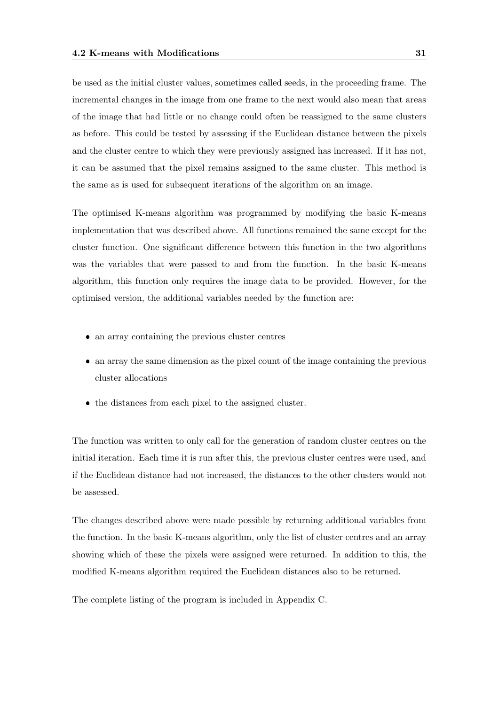be used as the initial cluster values, sometimes called seeds, in the proceeding frame. The incremental changes in the image from one frame to the next would also mean that areas of the image that had little or no change could often be reassigned to the same clusters as before. This could be tested by assessing if the Euclidean distance between the pixels and the cluster centre to which they were previously assigned has increased. If it has not, it can be assumed that the pixel remains assigned to the same cluster. This method is the same as is used for subsequent iterations of the algorithm on an image.

The optimised K-means algorithm was programmed by modifying the basic K-means implementation that was described above. All functions remained the same except for the cluster function. One significant difference between this function in the two algorithms was the variables that were passed to and from the function. In the basic K-means algorithm, this function only requires the image data to be provided. However, for the optimised version, the additional variables needed by the function are:

- an array containing the previous cluster centres
- an array the same dimension as the pixel count of the image containing the previous cluster allocations
- the distances from each pixel to the assigned cluster.

The function was written to only call for the generation of random cluster centres on the initial iteration. Each time it is run after this, the previous cluster centres were used, and if the Euclidean distance had not increased, the distances to the other clusters would not be assessed.

The changes described above were made possible by returning additional variables from the function. In the basic K-means algorithm, only the list of cluster centres and an array showing which of these the pixels were assigned were returned. In addition to this, the modified K-means algorithm required the Euclidean distances also to be returned.

The complete listing of the program is included in Appendix C.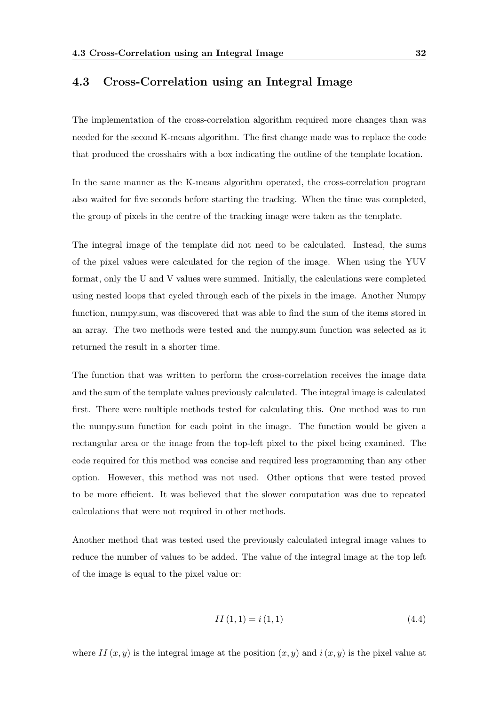#### 4.3 Cross-Correlation using an Integral Image

The implementation of the cross-correlation algorithm required more changes than was needed for the second K-means algorithm. The first change made was to replace the code that produced the crosshairs with a box indicating the outline of the template location.

In the same manner as the K-means algorithm operated, the cross-correlation program also waited for five seconds before starting the tracking. When the time was completed, the group of pixels in the centre of the tracking image were taken as the template.

The integral image of the template did not need to be calculated. Instead, the sums of the pixel values were calculated for the region of the image. When using the YUV format, only the U and V values were summed. Initially, the calculations were completed using nested loops that cycled through each of the pixels in the image. Another Numpy function, numpy.sum, was discovered that was able to find the sum of the items stored in an array. The two methods were tested and the numpy.sum function was selected as it returned the result in a shorter time.

The function that was written to perform the cross-correlation receives the image data and the sum of the template values previously calculated. The integral image is calculated first. There were multiple methods tested for calculating this. One method was to run the numpy.sum function for each point in the image. The function would be given a rectangular area or the image from the top-left pixel to the pixel being examined. The code required for this method was concise and required less programming than any other option. However, this method was not used. Other options that were tested proved to be more efficient. It was believed that the slower computation was due to repeated calculations that were not required in other methods.

Another method that was tested used the previously calculated integral image values to reduce the number of values to be added. The value of the integral image at the top left of the image is equal to the pixel value or:

$$
II(1,1) = i(1,1) \tag{4.4}
$$

where  $II(x, y)$  is the integral image at the position  $(x, y)$  and  $i(x, y)$  is the pixel value at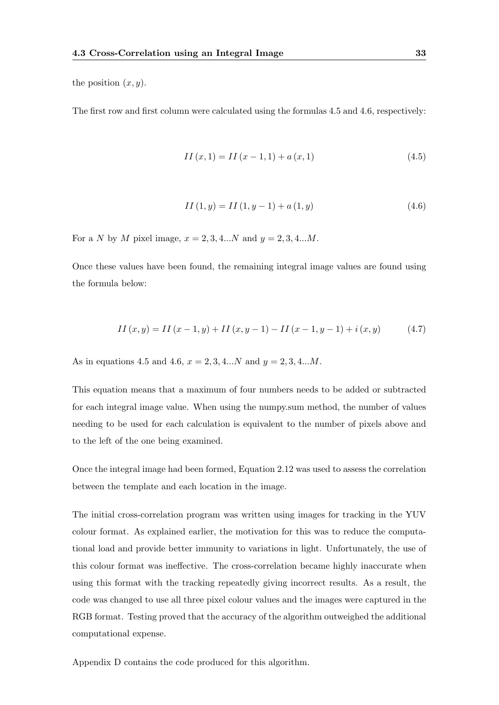the position  $(x, y)$ .

The first row and first column were calculated using the formulas 4.5 and 4.6, respectively:

$$
II(x,1) = II(x-1,1) + a(x,1)
$$
\n(4.5)

$$
II(1, y) = II(1, y - 1) + a(1, y)
$$
\n(4.6)

For a N by M pixel image,  $x = 2, 3, 4...N$  and  $y = 2, 3, 4...M$ .

Once these values have been found, the remaining integral image values are found using the formula below:

$$
II(x, y) = II(x - 1, y) + II(x, y - 1) - II(x - 1, y - 1) + i(x, y)
$$
\n(4.7)

As in equations 4.5 and 4.6,  $x = 2, 3, 4...N$  and  $y = 2, 3, 4...M$ .

This equation means that a maximum of four numbers needs to be added or subtracted for each integral image value. When using the numpy.sum method, the number of values needing to be used for each calculation is equivalent to the number of pixels above and to the left of the one being examined.

Once the integral image had been formed, Equation 2.12 was used to assess the correlation between the template and each location in the image.

The initial cross-correlation program was written using images for tracking in the YUV colour format. As explained earlier, the motivation for this was to reduce the computational load and provide better immunity to variations in light. Unfortunately, the use of this colour format was ineffective. The cross-correlation became highly inaccurate when using this format with the tracking repeatedly giving incorrect results. As a result, the code was changed to use all three pixel colour values and the images were captured in the RGB format. Testing proved that the accuracy of the algorithm outweighed the additional computational expense.

Appendix D contains the code produced for this algorithm.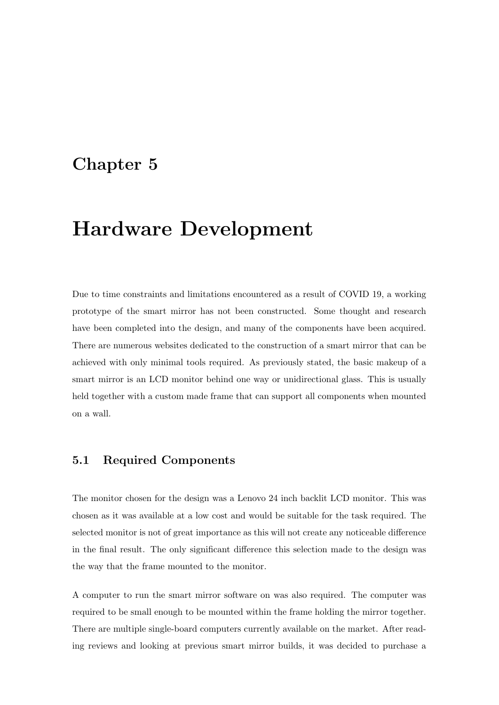## Chapter 5

## Hardware Development

Due to time constraints and limitations encountered as a result of COVID 19, a working prototype of the smart mirror has not been constructed. Some thought and research have been completed into the design, and many of the components have been acquired. There are numerous websites dedicated to the construction of a smart mirror that can be achieved with only minimal tools required. As previously stated, the basic makeup of a smart mirror is an LCD monitor behind one way or unidirectional glass. This is usually held together with a custom made frame that can support all components when mounted on a wall.

#### 5.1 Required Components

The monitor chosen for the design was a Lenovo 24 inch backlit LCD monitor. This was chosen as it was available at a low cost and would be suitable for the task required. The selected monitor is not of great importance as this will not create any noticeable difference in the final result. The only significant difference this selection made to the design was the way that the frame mounted to the monitor.

A computer to run the smart mirror software on was also required. The computer was required to be small enough to be mounted within the frame holding the mirror together. There are multiple single-board computers currently available on the market. After reading reviews and looking at previous smart mirror builds, it was decided to purchase a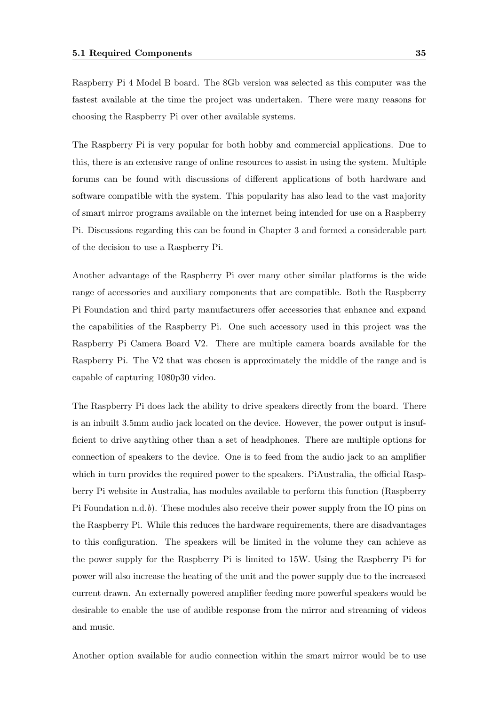Raspberry Pi 4 Model B board. The 8Gb version was selected as this computer was the fastest available at the time the project was undertaken. There were many reasons for choosing the Raspberry Pi over other available systems.

The Raspberry Pi is very popular for both hobby and commercial applications. Due to this, there is an extensive range of online resources to assist in using the system. Multiple forums can be found with discussions of different applications of both hardware and software compatible with the system. This popularity has also lead to the vast majority of smart mirror programs available on the internet being intended for use on a Raspberry Pi. Discussions regarding this can be found in Chapter 3 and formed a considerable part of the decision to use a Raspberry Pi.

Another advantage of the Raspberry Pi over many other similar platforms is the wide range of accessories and auxiliary components that are compatible. Both the Raspberry Pi Foundation and third party manufacturers offer accessories that enhance and expand the capabilities of the Raspberry Pi. One such accessory used in this project was the Raspberry Pi Camera Board V2. There are multiple camera boards available for the Raspberry Pi. The V2 that was chosen is approximately the middle of the range and is capable of capturing 1080p30 video.

The Raspberry Pi does lack the ability to drive speakers directly from the board. There is an inbuilt 3.5mm audio jack located on the device. However, the power output is insufficient to drive anything other than a set of headphones. There are multiple options for connection of speakers to the device. One is to feed from the audio jack to an amplifier which in turn provides the required power to the speakers. PiAustralia, the official Raspberry Pi website in Australia, has modules available to perform this function (Raspberry Pi Foundation n.d.b). These modules also receive their power supply from the IO pins on the Raspberry Pi. While this reduces the hardware requirements, there are disadvantages to this configuration. The speakers will be limited in the volume they can achieve as the power supply for the Raspberry Pi is limited to 15W. Using the Raspberry Pi for power will also increase the heating of the unit and the power supply due to the increased current drawn. An externally powered amplifier feeding more powerful speakers would be desirable to enable the use of audible response from the mirror and streaming of videos and music.

Another option available for audio connection within the smart mirror would be to use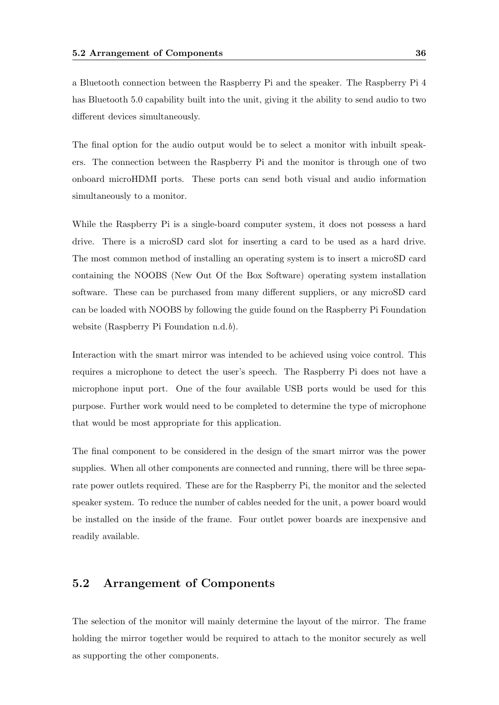a Bluetooth connection between the Raspberry Pi and the speaker. The Raspberry Pi 4 has Bluetooth 5.0 capability built into the unit, giving it the ability to send audio to two different devices simultaneously.

The final option for the audio output would be to select a monitor with inbuilt speakers. The connection between the Raspberry Pi and the monitor is through one of two onboard microHDMI ports. These ports can send both visual and audio information simultaneously to a monitor.

While the Raspberry Pi is a single-board computer system, it does not possess a hard drive. There is a microSD card slot for inserting a card to be used as a hard drive. The most common method of installing an operating system is to insert a microSD card containing the NOOBS (New Out Of the Box Software) operating system installation software. These can be purchased from many different suppliers, or any microSD card can be loaded with NOOBS by following the guide found on the Raspberry Pi Foundation website (Raspberry Pi Foundation n.d.b).

Interaction with the smart mirror was intended to be achieved using voice control. This requires a microphone to detect the user's speech. The Raspberry Pi does not have a microphone input port. One of the four available USB ports would be used for this purpose. Further work would need to be completed to determine the type of microphone that would be most appropriate for this application.

The final component to be considered in the design of the smart mirror was the power supplies. When all other components are connected and running, there will be three separate power outlets required. These are for the Raspberry Pi, the monitor and the selected speaker system. To reduce the number of cables needed for the unit, a power board would be installed on the inside of the frame. Four outlet power boards are inexpensive and readily available.

#### 5.2 Arrangement of Components

The selection of the monitor will mainly determine the layout of the mirror. The frame holding the mirror together would be required to attach to the monitor securely as well as supporting the other components.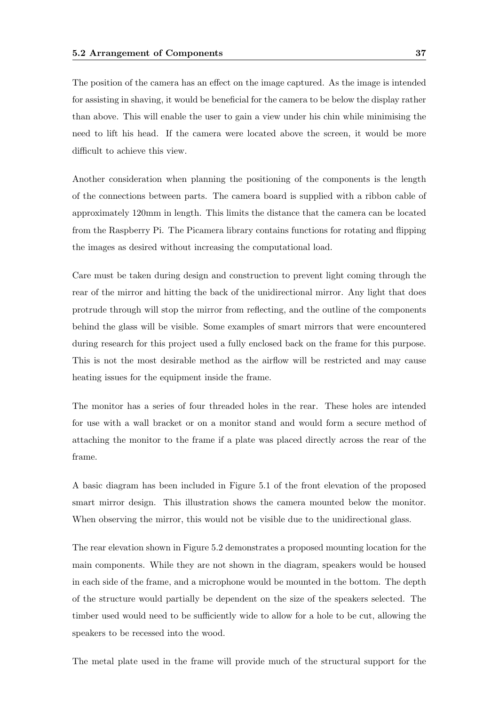The position of the camera has an effect on the image captured. As the image is intended for assisting in shaving, it would be beneficial for the camera to be below the display rather than above. This will enable the user to gain a view under his chin while minimising the need to lift his head. If the camera were located above the screen, it would be more difficult to achieve this view.

Another consideration when planning the positioning of the components is the length of the connections between parts. The camera board is supplied with a ribbon cable of approximately 120mm in length. This limits the distance that the camera can be located from the Raspberry Pi. The Picamera library contains functions for rotating and flipping the images as desired without increasing the computational load.

Care must be taken during design and construction to prevent light coming through the rear of the mirror and hitting the back of the unidirectional mirror. Any light that does protrude through will stop the mirror from reflecting, and the outline of the components behind the glass will be visible. Some examples of smart mirrors that were encountered during research for this project used a fully enclosed back on the frame for this purpose. This is not the most desirable method as the airflow will be restricted and may cause heating issues for the equipment inside the frame.

The monitor has a series of four threaded holes in the rear. These holes are intended for use with a wall bracket or on a monitor stand and would form a secure method of attaching the monitor to the frame if a plate was placed directly across the rear of the frame.

A basic diagram has been included in Figure 5.1 of the front elevation of the proposed smart mirror design. This illustration shows the camera mounted below the monitor. When observing the mirror, this would not be visible due to the unidirectional glass.

The rear elevation shown in Figure 5.2 demonstrates a proposed mounting location for the main components. While they are not shown in the diagram, speakers would be housed in each side of the frame, and a microphone would be mounted in the bottom. The depth of the structure would partially be dependent on the size of the speakers selected. The timber used would need to be sufficiently wide to allow for a hole to be cut, allowing the speakers to be recessed into the wood.

The metal plate used in the frame will provide much of the structural support for the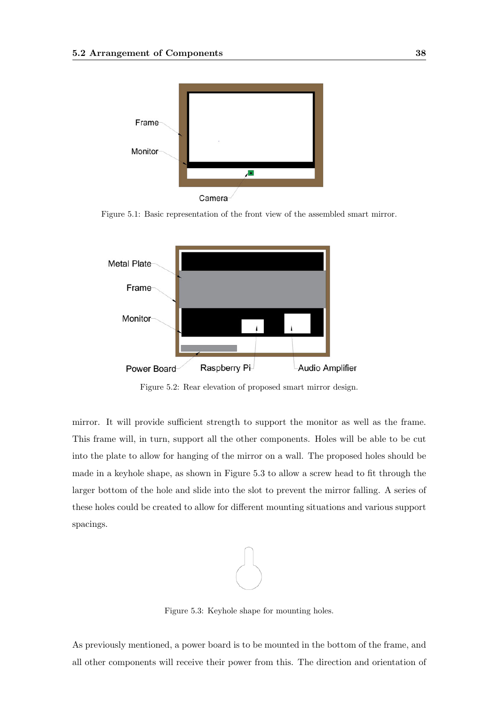

Figure 5.1: Basic representation of the front view of the assembled smart mirror.



Figure 5.2: Rear elevation of proposed smart mirror design.

mirror. It will provide sufficient strength to support the monitor as well as the frame. This frame will, in turn, support all the other components. Holes will be able to be cut into the plate to allow for hanging of the mirror on a wall. The proposed holes should be made in a keyhole shape, as shown in Figure 5.3 to allow a screw head to fit through the larger bottom of the hole and slide into the slot to prevent the mirror falling. A series of these holes could be created to allow for different mounting situations and various support spacings.



Figure 5.3: Keyhole shape for mounting holes.

As previously mentioned, a power board is to be mounted in the bottom of the frame, and all other components will receive their power from this. The direction and orientation of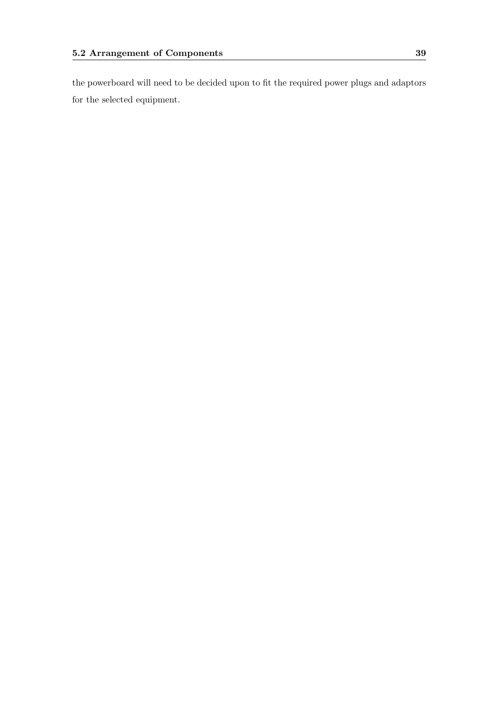the powerboard will need to be decided upon to fit the required power plugs and adaptors for the selected equipment.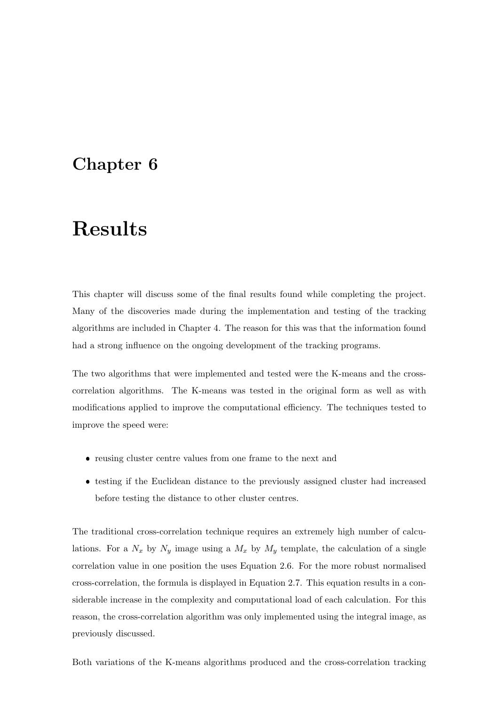## Chapter 6

## Results

This chapter will discuss some of the final results found while completing the project. Many of the discoveries made during the implementation and testing of the tracking algorithms are included in Chapter 4. The reason for this was that the information found had a strong influence on the ongoing development of the tracking programs.

The two algorithms that were implemented and tested were the K-means and the crosscorrelation algorithms. The K-means was tested in the original form as well as with modifications applied to improve the computational efficiency. The techniques tested to improve the speed were:

- reusing cluster centre values from one frame to the next and
- testing if the Euclidean distance to the previously assigned cluster had increased before testing the distance to other cluster centres.

The traditional cross-correlation technique requires an extremely high number of calculations. For a  $N_x$  by  $N_y$  image using a  $M_x$  by  $M_y$  template, the calculation of a single correlation value in one position the uses Equation 2.6. For the more robust normalised cross-correlation, the formula is displayed in Equation 2.7. This equation results in a considerable increase in the complexity and computational load of each calculation. For this reason, the cross-correlation algorithm was only implemented using the integral image, as previously discussed.

Both variations of the K-means algorithms produced and the cross-correlation tracking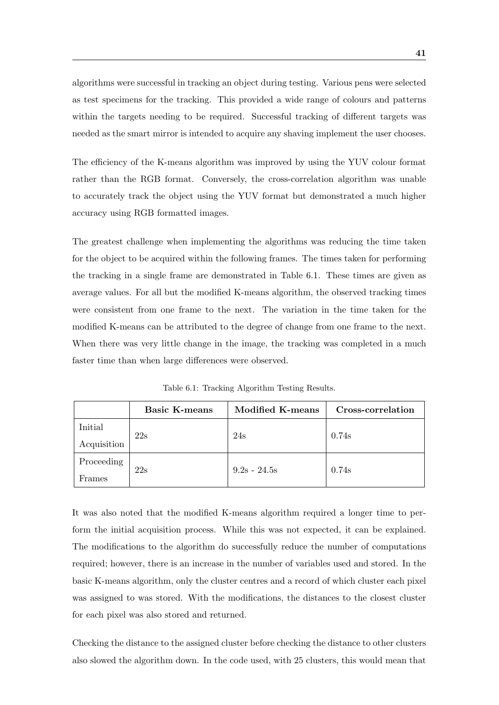algorithms were successful in tracking an object during testing. Various pens were selected as test specimens for the tracking. This provided a wide range of colours and patterns within the targets needing to be required. Successful tracking of different targets was needed as the smart mirror is intended to acquire any shaving implement the user chooses.

The efficiency of the K-means algorithm was improved by using the YUV colour format rather than the RGB format. Conversely, the cross-correlation algorithm was unable to accurately track the object using the YUV format but demonstrated a much higher accuracy using RGB formatted images.

The greatest challenge when implementing the algorithms was reducing the time taken for the object to be acquired within the following frames. The times taken for performing the tracking in a single frame are demonstrated in Table 6.1. These times are given as average values. For all but the modified K-means algorithm, the observed tracking times were consistent from one frame to the next. The variation in the time taken for the modified K-means can be attributed to the degree of change from one frame to the next. When there was very little change in the image, the tracking was completed in a much faster time than when large differences were observed.

|                        | <b>Basic K-means</b> | <b>Modified K-means</b> | Cross-correlation |
|------------------------|----------------------|-------------------------|-------------------|
| Initial<br>Acquisition | 22s                  | 24s                     | 0.74s             |
| Proceeding<br>Frames   | 22s                  | $9.2s - 24.5s$          | 0.74s             |

Table 6.1: Tracking Algorithm Testing Results.

It was also noted that the modified K-means algorithm required a longer time to perform the initial acquisition process. While this was not expected, it can be explained. The modifications to the algorithm do successfully reduce the number of computations required; however, there is an increase in the number of variables used and stored. In the basic K-means algorithm, only the cluster centres and a record of which cluster each pixel was assigned to was stored. With the modifications, the distances to the closest cluster for each pixel was also stored and returned.

Checking the distance to the assigned cluster before checking the distance to other clusters also slowed the algorithm down. In the code used, with 25 clusters, this would mean that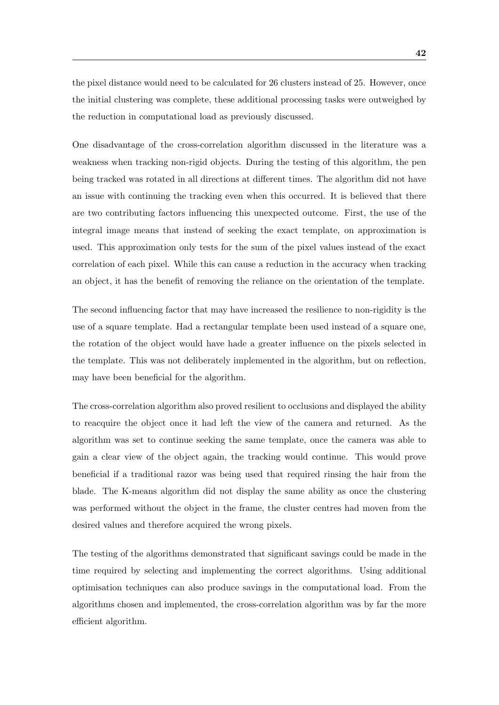the pixel distance would need to be calculated for 26 clusters instead of 25. However, once the initial clustering was complete, these additional processing tasks were outweighed by the reduction in computational load as previously discussed.

One disadvantage of the cross-correlation algorithm discussed in the literature was a weakness when tracking non-rigid objects. During the testing of this algorithm, the pen being tracked was rotated in all directions at different times. The algorithm did not have an issue with continuing the tracking even when this occurred. It is believed that there are two contributing factors influencing this unexpected outcome. First, the use of the integral image means that instead of seeking the exact template, on approximation is used. This approximation only tests for the sum of the pixel values instead of the exact correlation of each pixel. While this can cause a reduction in the accuracy when tracking an object, it has the benefit of removing the reliance on the orientation of the template.

The second influencing factor that may have increased the resilience to non-rigidity is the use of a square template. Had a rectangular template been used instead of a square one, the rotation of the object would have hade a greater influence on the pixels selected in the template. This was not deliberately implemented in the algorithm, but on reflection, may have been beneficial for the algorithm.

The cross-correlation algorithm also proved resilient to occlusions and displayed the ability to reacquire the object once it had left the view of the camera and returned. As the algorithm was set to continue seeking the same template, once the camera was able to gain a clear view of the object again, the tracking would continue. This would prove beneficial if a traditional razor was being used that required rinsing the hair from the blade. The K-means algorithm did not display the same ability as once the clustering was performed without the object in the frame, the cluster centres had moven from the desired values and therefore acquired the wrong pixels.

The testing of the algorithms demonstrated that significant savings could be made in the time required by selecting and implementing the correct algorithms. Using additional optimisation techniques can also produce savings in the computational load. From the algorithms chosen and implemented, the cross-correlation algorithm was by far the more efficient algorithm.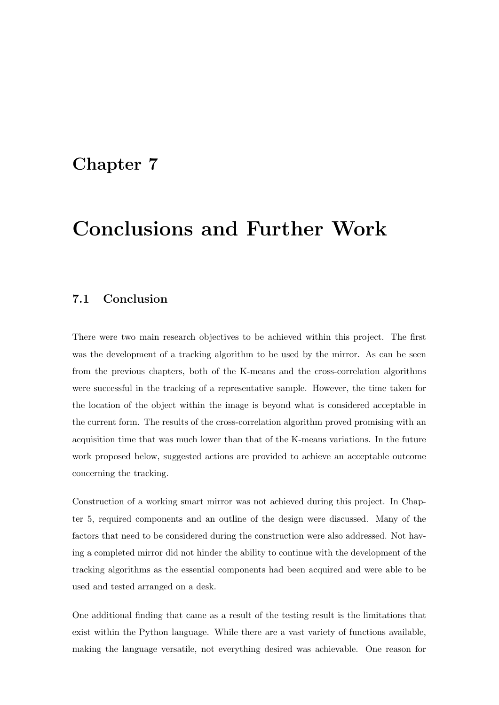### Chapter 7

## Conclusions and Further Work

#### 7.1 Conclusion

There were two main research objectives to be achieved within this project. The first was the development of a tracking algorithm to be used by the mirror. As can be seen from the previous chapters, both of the K-means and the cross-correlation algorithms were successful in the tracking of a representative sample. However, the time taken for the location of the object within the image is beyond what is considered acceptable in the current form. The results of the cross-correlation algorithm proved promising with an acquisition time that was much lower than that of the K-means variations. In the future work proposed below, suggested actions are provided to achieve an acceptable outcome concerning the tracking.

Construction of a working smart mirror was not achieved during this project. In Chapter 5, required components and an outline of the design were discussed. Many of the factors that need to be considered during the construction were also addressed. Not having a completed mirror did not hinder the ability to continue with the development of the tracking algorithms as the essential components had been acquired and were able to be used and tested arranged on a desk.

One additional finding that came as a result of the testing result is the limitations that exist within the Python language. While there are a vast variety of functions available, making the language versatile, not everything desired was achievable. One reason for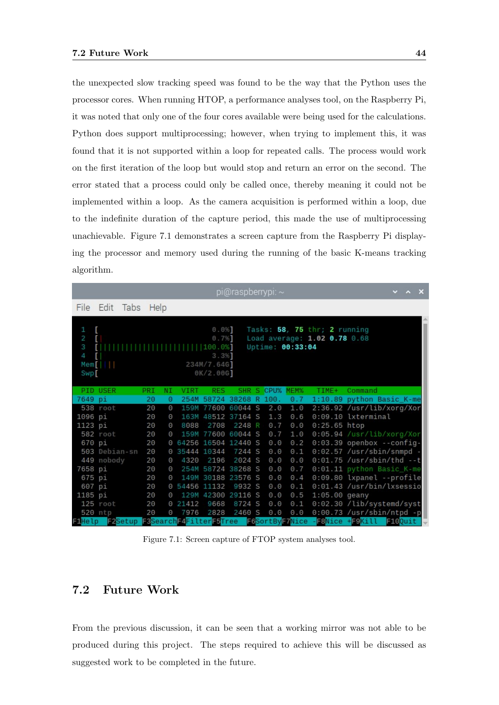the unexpected slow tracking speed was found to be the way that the Python uses the processor cores. When running HTOP, a performance analyses tool, on the Raspberry Pi, it was noted that only one of the four cores available were being used for the calculations. Python does support multiprocessing; however, when trying to implement this, it was found that it is not supported within a loop for repeated calls. The process would work on the first iteration of the loop but would stop and return an error on the second. The error stated that a process could only be called once, thereby meaning it could not be implemented within a loop. As the camera acquisition is performed within a loop, due to the indefinite duration of the capture period, this made the use of multiprocessing unachievable. Figure 7.1 demonstrates a screen capture from the Raspberry Pi displaying the processor and memory used during the running of the basic K-means tracking algorithm.

|              |                                                                     |            |          |                       |                        | pi@raspberrypi: ~  |                        |                  |                                   |                               |            | $\vee$ $\wedge$ | $\boldsymbol{\mathsf{x}}$ |
|--------------|---------------------------------------------------------------------|------------|----------|-----------------------|------------------------|--------------------|------------------------|------------------|-----------------------------------|-------------------------------|------------|-----------------|---------------------------|
|              | File Edit Tabs                                                      | Help       |          |                       |                        |                    |                        |                  |                                   |                               |            |                 |                           |
|              |                                                                     |            |          |                       |                        |                    |                        |                  |                                   |                               |            |                 |                           |
| 1            | L                                                                   |            |          |                       | 0.0%                   |                    |                        |                  | Tasks: $58$ , $75$ thr; 2 running |                               |            |                 |                           |
| $\mathbf{2}$ | T.                                                                  |            |          |                       | $0.7%$ ]               |                    |                        |                  | Load average: 1.02 0.78 0.68      |                               |            |                 |                           |
| З<br>4       | $\blacksquare$<br>п                                                 |            |          |                       | 1111100.0%<br>$3.3%$ ] |                    |                        | Uptime: 00:33:04 |                                   |                               |            |                 |                           |
|              | $Mem[$                                                              |            |          |                       | 234M/7.64G]            |                    |                        |                  |                                   |                               |            |                 |                           |
| Swp[         |                                                                     |            |          |                       | 0K/2.00G               |                    |                        |                  |                                   |                               |            |                 |                           |
|              |                                                                     |            |          |                       |                        |                    |                        |                  |                                   |                               |            |                 |                           |
|              | <b>PID USER</b>                                                     | <b>PRI</b> | NI       | <b>VIRT</b>           | RES.                   |                    | <b>SHR S CPU% MEM%</b> |                  | TIME+                             | Command                       |            |                 |                           |
| 7649 pi      |                                                                     | 20         | Θ        | 254M                  |                        | 58724 38268 R 100. |                        | 0.7              |                                   | 1:10.89 python Basic_K-me     |            |                 |                           |
|              | 538 root                                                            | 20         | Θ        |                       |                        | 159M 77600 60044 S | 2.0                    | 1.0              |                                   | 2:36.92 /usr/lib/xorg/Xor     |            |                 |                           |
| 1096 pi      |                                                                     | 20         | Θ        | 163M                  |                        | 48512 37164 S      | 1.3                    | 0.6              |                                   | 0:09.10 lxterminal            |            |                 |                           |
| 1123 pi      |                                                                     | 20         | Θ        | 8088                  | 2708                   | 2248 R             | 0.7                    | 0.0              | $0:25.65$ htop                    |                               |            |                 |                           |
|              | 582 root                                                            | 20         | Θ        |                       |                        | 159M 77600 60044 S | 0.7                    | 1.0              |                                   | 0:05.94 /usr/lib/xorg/Xor     |            |                 |                           |
| 670 pi       |                                                                     | 20         |          | 0 64256 16504 12440 S |                        |                    | 0.0                    | $\theta$ . 2     |                                   | $0:03.39$ openbox --config-   |            |                 |                           |
|              | 503 Debian-sn                                                       | 20         |          | 0 35444 10344         |                        | 7244 S             | 0.0                    | 0.1              |                                   | 0:02.57 /usr/sbin/snmpd -     |            |                 |                           |
|              | 449 nobody                                                          | 20         | Θ        | 4320                  | 2196                   | 2024 S             | 0.0                    | 0.0              |                                   | $0:01.75$ /usr/sbin/thd --t   |            |                 |                           |
| 7658 pi      |                                                                     | 20         | Θ        |                       |                        | 254M 58724 38268 S | 0.0                    | 0.7              |                                   | 0:01.11 python Basic_K-me     |            |                 |                           |
| 675 pi       |                                                                     | 20         | Θ        |                       |                        | 149M 30188 23576 S | 0.0                    | 0.4              |                                   | 0:09.80 lxpanel --profile     |            |                 |                           |
| 607 pi       |                                                                     | 20         |          | 0 54456 11132         |                        | 9932 S             | 0.0                    | 0.1              |                                   | 0:01.43 /usr/bin/lxsessio     |            |                 |                           |
| 1185 pi      |                                                                     | 20         | Θ        |                       |                        | 129M 42300 29116 S | 0.0                    | 0.5              | 1:05.00 geany                     |                               |            |                 |                           |
|              | 125 root                                                            | 20         |          | 0 21412               | 9668                   | 8724 S             | 0.0                    |                  |                                   | 0.1 0:02.30 /lib/systemd/syst |            |                 |                           |
|              | 520 ntp                                                             | 20         | $\Theta$ | 7976                  | 2828                   | 2460 S             | $\Theta$ . $\Theta$    | 0.0              |                                   | 0:00.73 /usr/sbin/ntpd -p     |            |                 |                           |
|              | F1Help F2Setup F3SearchF4FilterF5Tree F6SortByF7Nice F8Nice +F9Kill |            |          |                       |                        |                    |                        |                  |                                   |                               | $F100$ uit |                 |                           |

Figure 7.1: Screen capture of FTOP system analyses tool.

#### 7.2 Future Work

From the previous discussion, it can be seen that a working mirror was not able to be produced during this project. The steps required to achieve this will be discussed as suggested work to be completed in the future.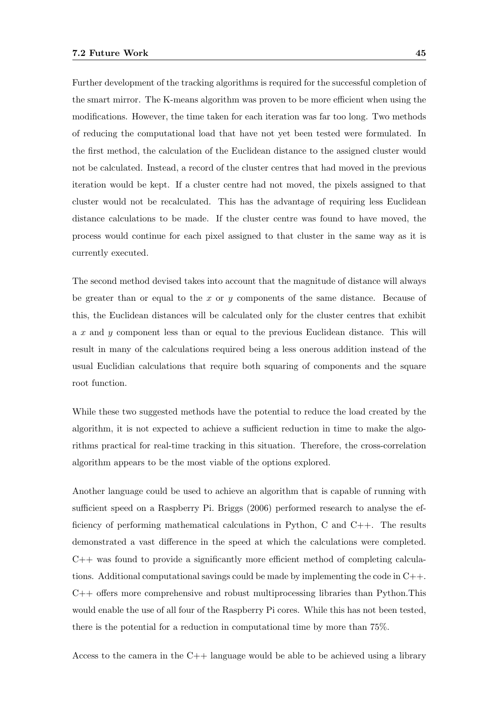Further development of the tracking algorithms is required for the successful completion of the smart mirror. The K-means algorithm was proven to be more efficient when using the modifications. However, the time taken for each iteration was far too long. Two methods of reducing the computational load that have not yet been tested were formulated. In the first method, the calculation of the Euclidean distance to the assigned cluster would not be calculated. Instead, a record of the cluster centres that had moved in the previous iteration would be kept. If a cluster centre had not moved, the pixels assigned to that cluster would not be recalculated. This has the advantage of requiring less Euclidean distance calculations to be made. If the cluster centre was found to have moved, the process would continue for each pixel assigned to that cluster in the same way as it is currently executed.

The second method devised takes into account that the magnitude of distance will always be greater than or equal to the x or y components of the same distance. Because of this, the Euclidean distances will be calculated only for the cluster centres that exhibit a x and y component less than or equal to the previous Euclidean distance. This will result in many of the calculations required being a less onerous addition instead of the usual Euclidian calculations that require both squaring of components and the square root function.

While these two suggested methods have the potential to reduce the load created by the algorithm, it is not expected to achieve a sufficient reduction in time to make the algorithms practical for real-time tracking in this situation. Therefore, the cross-correlation algorithm appears to be the most viable of the options explored.

Another language could be used to achieve an algorithm that is capable of running with sufficient speed on a Raspberry Pi. Briggs (2006) performed research to analyse the efficiency of performing mathematical calculations in Python, C and C++. The results demonstrated a vast difference in the speed at which the calculations were completed.  $C++$  was found to provide a significantly more efficient method of completing calculations. Additional computational savings could be made by implementing the code in  $C++$ . C++ offers more comprehensive and robust multiprocessing libraries than Python.This would enable the use of all four of the Raspberry Pi cores. While this has not been tested, there is the potential for a reduction in computational time by more than 75%.

Access to the camera in the  $C_{++}$  language would be able to be achieved using a library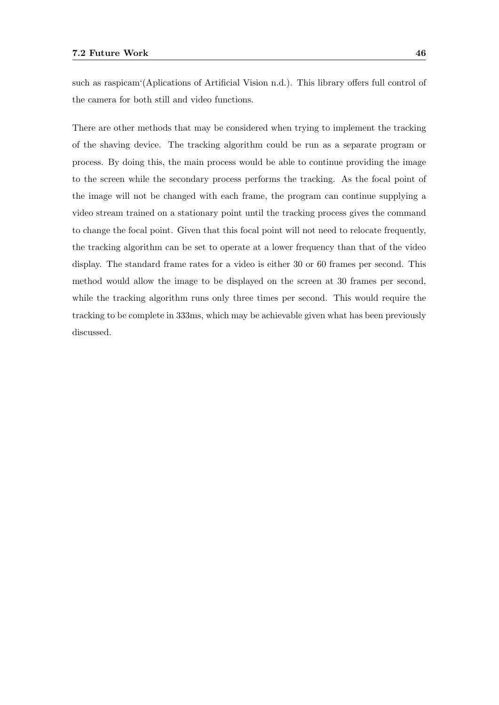such as raspicam'(Aplications of Artificial Vision n.d.). This library offers full control of the camera for both still and video functions.

There are other methods that may be considered when trying to implement the tracking of the shaving device. The tracking algorithm could be run as a separate program or process. By doing this, the main process would be able to continue providing the image to the screen while the secondary process performs the tracking. As the focal point of the image will not be changed with each frame, the program can continue supplying a video stream trained on a stationary point until the tracking process gives the command to change the focal point. Given that this focal point will not need to relocate frequently, the tracking algorithm can be set to operate at a lower frequency than that of the video display. The standard frame rates for a video is either 30 or 60 frames per second. This method would allow the image to be displayed on the screen at 30 frames per second, while the tracking algorithm runs only three times per second. This would require the tracking to be complete in 333ms, which may be achievable given what has been previously discussed.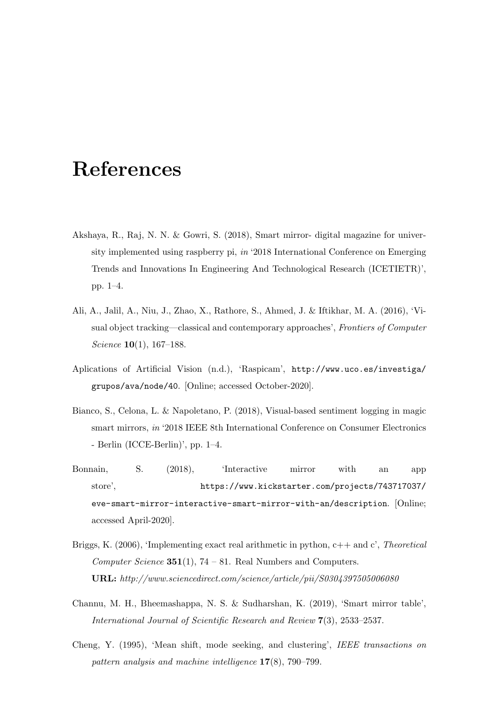## References

- Akshaya, R., Raj, N. N. & Gowri, S. (2018), Smart mirror- digital magazine for university implemented using raspberry pi, in '2018 International Conference on Emerging Trends and Innovations In Engineering And Technological Research (ICETIETR)', pp. 1–4.
- Ali, A., Jalil, A., Niu, J., Zhao, X., Rathore, S., Ahmed, J. & Iftikhar, M. A. (2016), 'Visual object tracking—classical and contemporary approaches', Frontiers of Computer Science **10**(1), 167–188.
- Aplications of Artificial Vision (n.d.), 'Raspicam', http://www.uco.es/investiga/ grupos/ava/node/40. [Online; accessed October-2020].
- Bianco, S., Celona, L. & Napoletano, P. (2018), Visual-based sentiment logging in magic smart mirrors, in '2018 IEEE 8th International Conference on Consumer Electronics - Berlin (ICCE-Berlin)', pp. 1–4.
- Bonnain, S. (2018), 'Interactive mirror with an app store', https://www.kickstarter.com/projects/743717037/ eve-smart-mirror-interactive-smart-mirror-with-an/description. [Online; accessed April-2020].
- Briggs, K. (2006), 'Implementing exact real arithmetic in python,  $c++$  and  $c'$ , *Theoretical* Computer Science  $351(1)$ , 74 – 81. Real Numbers and Computers. URL: http://www.sciencedirect.com/science/article/pii/S0304397505006080
- Channu, M. H., Bheemashappa, N. S. & Sudharshan, K. (2019), 'Smart mirror table', International Journal of Scientific Research and Review 7(3), 2533–2537.
- Cheng, Y. (1995), 'Mean shift, mode seeking, and clustering', IEEE transactions on pattern analysis and machine intelligence 17(8), 790–799.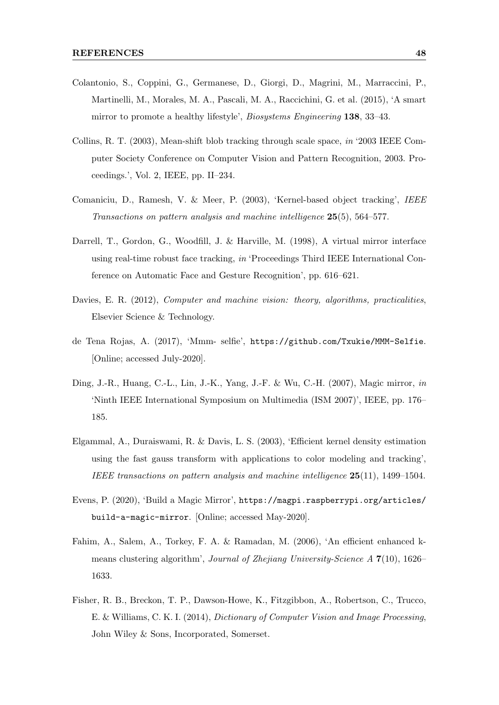- Colantonio, S., Coppini, G., Germanese, D., Giorgi, D., Magrini, M., Marraccini, P., Martinelli, M., Morales, M. A., Pascali, M. A., Raccichini, G. et al. (2015), 'A smart mirror to promote a healthy lifestyle', Biosystems Engineering 138, 33–43.
- Collins, R. T. (2003), Mean-shift blob tracking through scale space, in '2003 IEEE Computer Society Conference on Computer Vision and Pattern Recognition, 2003. Proceedings.', Vol. 2, IEEE, pp. II–234.
- Comaniciu, D., Ramesh, V. & Meer, P. (2003), 'Kernel-based object tracking', IEEE Transactions on pattern analysis and machine intelligence 25(5), 564–577.
- Darrell, T., Gordon, G., Woodfill, J. & Harville, M. (1998), A virtual mirror interface using real-time robust face tracking, in 'Proceedings Third IEEE International Conference on Automatic Face and Gesture Recognition', pp. 616–621.
- Davies, E. R. (2012), *Computer and machine vision: theory, algorithms, practicalities*, Elsevier Science & Technology.
- de Tena Rojas, A. (2017), 'Mmm- selfie', https://github.com/Txukie/MMM-Selfie. [Online; accessed July-2020].
- Ding, J.-R., Huang, C.-L., Lin, J.-K., Yang, J.-F. & Wu, C.-H. (2007), Magic mirror, in 'Ninth IEEE International Symposium on Multimedia (ISM 2007)', IEEE, pp. 176– 185.
- Elgammal, A., Duraiswami, R. & Davis, L. S. (2003), 'Efficient kernel density estimation using the fast gauss transform with applications to color modeling and tracking', IEEE transactions on pattern analysis and machine intelligence 25(11), 1499–1504.
- Evens, P. (2020), 'Build a Magic Mirror', https://magpi.raspberrypi.org/articles/ build-a-magic-mirror. [Online; accessed May-2020].
- Fahim, A., Salem, A., Torkey, F. A. & Ramadan, M. (2006), 'An efficient enhanced kmeans clustering algorithm', Journal of Zhejiang University-Science A 7(10), 1626– 1633.
- Fisher, R. B., Breckon, T. P., Dawson-Howe, K., Fitzgibbon, A., Robertson, C., Trucco, E. & Williams, C. K. I. (2014), Dictionary of Computer Vision and Image Processing, John Wiley & Sons, Incorporated, Somerset.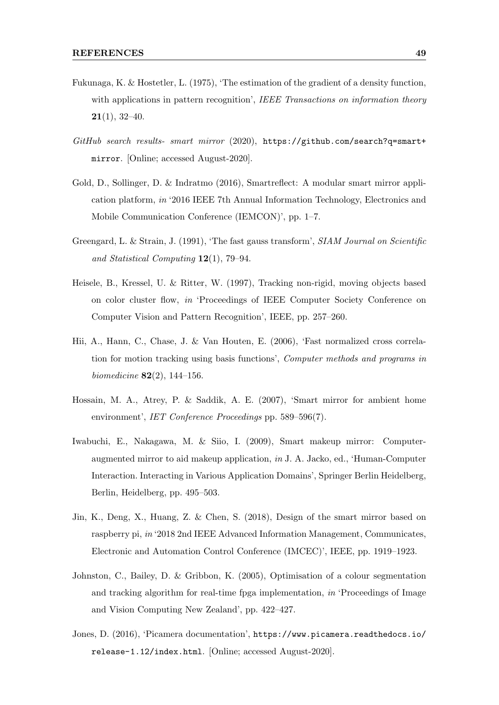- Fukunaga, K. & Hostetler, L. (1975), 'The estimation of the gradient of a density function, with applications in pattern recognition', IEEE Transactions on information theory  $21(1), 32-40.$
- GitHub search results- smart mirror (2020), https://github.com/search?q=smart+ mirror. [Online; accessed August-2020].
- Gold, D., Sollinger, D. & Indratmo (2016), Smartreflect: A modular smart mirror application platform, in '2016 IEEE 7th Annual Information Technology, Electronics and Mobile Communication Conference (IEMCON)', pp. 1–7.
- Greengard, L. & Strain, J. (1991), 'The fast gauss transform', SIAM Journal on Scientific and Statistical Computing 12(1), 79–94.
- Heisele, B., Kressel, U. & Ritter, W. (1997), Tracking non-rigid, moving objects based on color cluster flow, in 'Proceedings of IEEE Computer Society Conference on Computer Vision and Pattern Recognition', IEEE, pp. 257–260.
- Hii, A., Hann, C., Chase, J. & Van Houten, E. (2006), 'Fast normalized cross correlation for motion tracking using basis functions', Computer methods and programs in *biomedicine* **82** $(2)$ , 144–156.
- Hossain, M. A., Atrey, P. & Saddik, A. E. (2007), 'Smart mirror for ambient home environment', IET Conference Proceedings pp. 589–596(7).
- Iwabuchi, E., Nakagawa, M. & Siio, I. (2009), Smart makeup mirror: Computeraugmented mirror to aid makeup application, in J. A. Jacko, ed., 'Human-Computer Interaction. Interacting in Various Application Domains', Springer Berlin Heidelberg, Berlin, Heidelberg, pp. 495–503.
- Jin, K., Deng, X., Huang, Z. & Chen, S. (2018), Design of the smart mirror based on raspberry pi, in '2018 2nd IEEE Advanced Information Management, Communicates, Electronic and Automation Control Conference (IMCEC)', IEEE, pp. 1919–1923.
- Johnston, C., Bailey, D. & Gribbon, K. (2005), Optimisation of a colour segmentation and tracking algorithm for real-time fpga implementation, in 'Proceedings of Image and Vision Computing New Zealand', pp. 422–427.
- Jones, D. (2016), 'Picamera documentation', https://www.picamera.readthedocs.io/ release-1.12/index.html. [Online; accessed August-2020].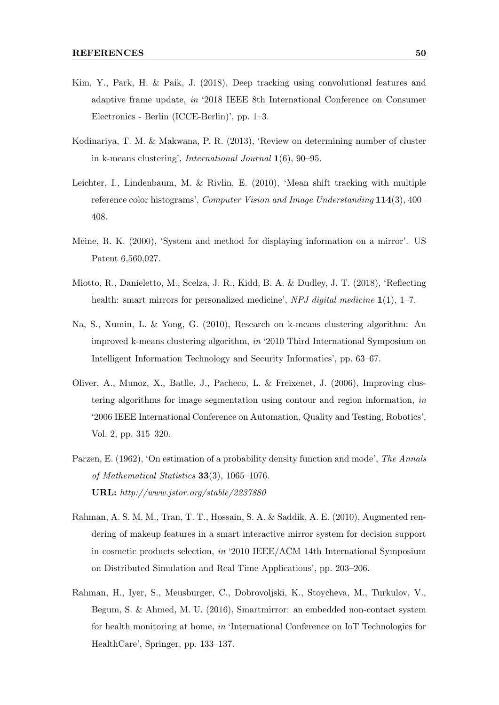- Kim, Y., Park, H. & Paik, J. (2018), Deep tracking using convolutional features and adaptive frame update, in '2018 IEEE 8th International Conference on Consumer Electronics - Berlin (ICCE-Berlin)', pp. 1–3.
- Kodinariya, T. M. & Makwana, P. R. (2013), 'Review on determining number of cluster in k-means clustering', International Journal 1(6), 90–95.
- Leichter, I., Lindenbaum, M. & Rivlin, E. (2010), 'Mean shift tracking with multiple reference color histograms', Computer Vision and Image Understanding 114(3), 400– 408.
- Meine, R. K. (2000), 'System and method for displaying information on a mirror'. US Patent 6,560,027.
- Miotto, R., Danieletto, M., Scelza, J. R., Kidd, B. A. & Dudley, J. T. (2018), 'Reflecting health: smart mirrors for personalized medicine', NPJ digital medicine 1(1), 1–7.
- Na, S., Xumin, L. & Yong, G. (2010), Research on k-means clustering algorithm: An improved k-means clustering algorithm, in '2010 Third International Symposium on Intelligent Information Technology and Security Informatics', pp. 63–67.
- Oliver, A., Munoz, X., Batlle, J., Pacheco, L. & Freixenet, J. (2006), Improving clustering algorithms for image segmentation using contour and region information, in '2006 IEEE International Conference on Automation, Quality and Testing, Robotics', Vol. 2, pp. 315–320.
- Parzen, E. (1962), 'On estimation of a probability density function and mode', The Annals of Mathematical Statistics 33(3), 1065–1076. URL: http://www.jstor.org/stable/2237880
- Rahman, A. S. M. M., Tran, T. T., Hossain, S. A. & Saddik, A. E. (2010), Augmented rendering of makeup features in a smart interactive mirror system for decision support in cosmetic products selection, in '2010 IEEE/ACM 14th International Symposium on Distributed Simulation and Real Time Applications', pp. 203–206.
- Rahman, H., Iyer, S., Meusburger, C., Dobrovoljski, K., Stoycheva, M., Turkulov, V., Begum, S. & Ahmed, M. U. (2016), Smartmirror: an embedded non-contact system for health monitoring at home, in 'International Conference on IoT Technologies for HealthCare', Springer, pp. 133–137.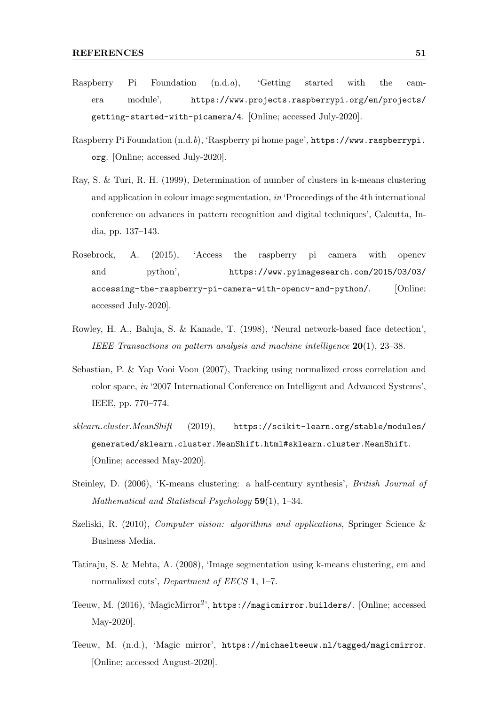- Raspberry Pi Foundation (n.d.a), 'Getting started with the camera module', https://www.projects.raspberrypi.org/en/projects/ getting-started-with-picamera/4. [Online; accessed July-2020].
- Raspberry Pi Foundation (n.d.b), 'Raspberry pi home page', https://www.raspberrypi. org. [Online; accessed July-2020].
- Ray, S. & Turi, R. H. (1999), Determination of number of clusters in k-means clustering and application in colour image segmentation, in 'Proceedings of the 4th international conference on advances in pattern recognition and digital techniques', Calcutta, India, pp. 137–143.
- Rosebrock, A. (2015), 'Access the raspberry pi camera with opencv and python', https://www.pyimagesearch.com/2015/03/03/ accessing-the-raspberry-pi-camera-with-opencv-and-python/. [Online; accessed July-2020].
- Rowley, H. A., Baluja, S. & Kanade, T. (1998), 'Neural network-based face detection', IEEE Transactions on pattern analysis and machine intelligence 20(1), 23–38.
- Sebastian, P. & Yap Vooi Voon (2007), Tracking using normalized cross correlation and color space, in '2007 International Conference on Intelligent and Advanced Systems', IEEE, pp. 770–774.
- sklearn.cluster.MeanShift (2019), https://scikit-learn.org/stable/modules/ generated/sklearn.cluster.MeanShift.html#sklearn.cluster.MeanShift. [Online; accessed May-2020].
- Steinley, D. (2006), 'K-means clustering: a half-century synthesis', British Journal of Mathematical and Statistical Psychology 59(1), 1–34.
- Szeliski, R. (2010), Computer vision: algorithms and applications, Springer Science & Business Media.
- Tatiraju, S. & Mehta, A. (2008), 'Image segmentation using k-means clustering, em and normalized cuts', *Department of EECS* 1, 1-7.
- Teeuw, M. (2016), 'MagicMirror<sup>2</sup>', https://magicmirror.builders/. [Online; accessed May-2020].
- Teeuw, M. (n.d.), 'Magic mirror', https://michaelteeuw.nl/tagged/magicmirror. [Online; accessed August-2020].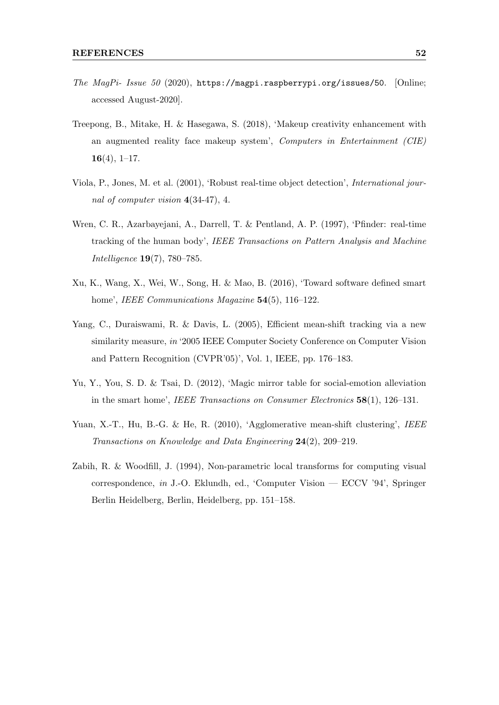- The MagPi- Issue 50 (2020), https://magpi.raspberrypi.org/issues/50. [Online; accessed August-2020].
- Treepong, B., Mitake, H. & Hasegawa, S. (2018), 'Makeup creativity enhancement with an augmented reality face makeup system', Computers in Entertainment (CIE)  $16(4), 1-17.$
- Viola, P., Jones, M. et al. (2001), 'Robust real-time object detection', International journal of computer vision 4(34-47), 4.
- Wren, C. R., Azarbayejani, A., Darrell, T. & Pentland, A. P. (1997), 'Pfinder: real-time tracking of the human body', IEEE Transactions on Pattern Analysis and Machine Intelligence 19(7), 780–785.
- Xu, K., Wang, X., Wei, W., Song, H. & Mao, B. (2016), 'Toward software defined smart home', IEEE Communications Magazine **54**(5), 116–122.
- Yang, C., Duraiswami, R. & Davis, L. (2005), Efficient mean-shift tracking via a new similarity measure, in '2005 IEEE Computer Society Conference on Computer Vision and Pattern Recognition (CVPR'05)', Vol. 1, IEEE, pp. 176–183.
- Yu, Y., You, S. D. & Tsai, D. (2012), 'Magic mirror table for social-emotion alleviation in the smart home', IEEE Transactions on Consumer Electronics 58(1), 126–131.
- Yuan, X.-T., Hu, B.-G. & He, R. (2010), 'Agglomerative mean-shift clustering', IEEE Transactions on Knowledge and Data Engineering 24(2), 209–219.
- Zabih, R. & Woodfill, J. (1994), Non-parametric local transforms for computing visual correspondence, in J.-O. Eklundh, ed., 'Computer Vision — ECCV '94', Springer Berlin Heidelberg, Berlin, Heidelberg, pp. 151–158.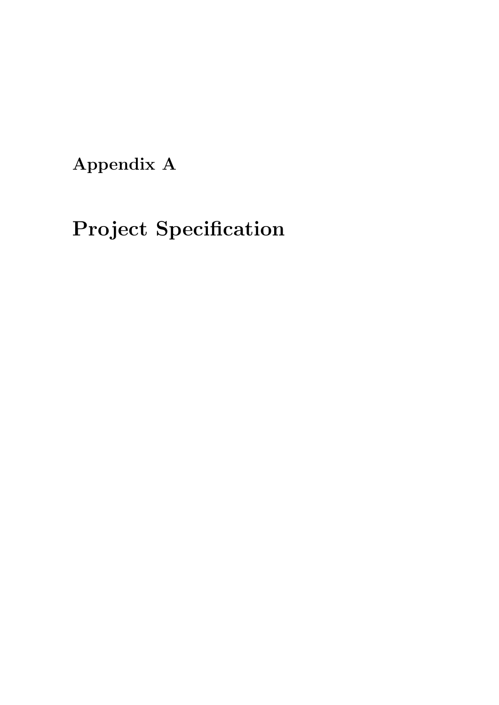Appendix A

# Project Specification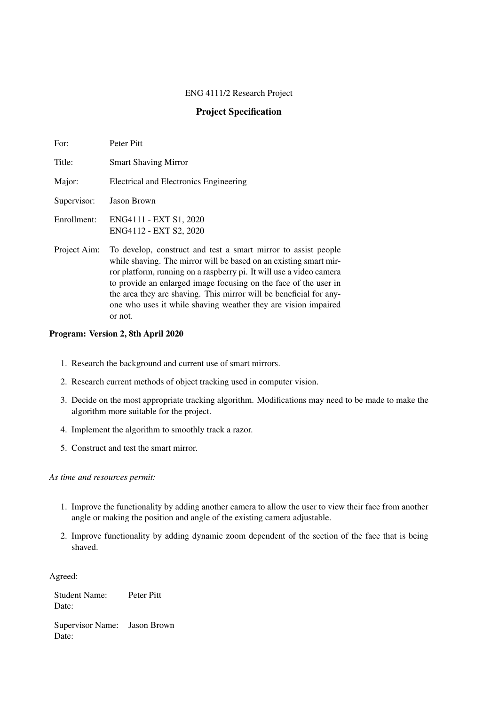#### ENG 4111/2 Research Project

#### Project Specification

| For:        | Peter Pitt                                       |
|-------------|--------------------------------------------------|
| Title:      | <b>Smart Shaving Mirror</b>                      |
| Major:      | Electrical and Electronics Engineering           |
| Supervisor: | <b>Jason Brown</b>                               |
| Enrollment: | ENG4111 - EXT S1, 2020<br>ENG4112 - EXT S2, 2020 |

Project Aim: To develop, construct and test a smart mirror to assist people while shaving. The mirror will be based on an existing smart mirror platform, running on a raspberry pi. It will use a video camera to provide an enlarged image focusing on the face of the user in the area they are shaving. This mirror will be beneficial for anyone who uses it while shaving weather they are vision impaired or not.

#### Program: Version 2, 8th April 2020

- 1. Research the background and current use of smart mirrors.
- 2. Research current methods of object tracking used in computer vision.
- 3. Decide on the most appropriate tracking algorithm. Modifications may need to be made to make the algorithm more suitable for the project.
- 4. Implement the algorithm to smoothly track a razor.
- 5. Construct and test the smart mirror.

*As time and resources permit:*

- 1. Improve the functionality by adding another camera to allow the user to view their face from another angle or making the position and angle of the existing camera adjustable.
- 2. Improve functionality by adding dynamic zoom dependent of the section of the face that is being shaved.

Agreed:

Student Name: Peter Pitt Date:

Supervisor Name: Jason Brown Date: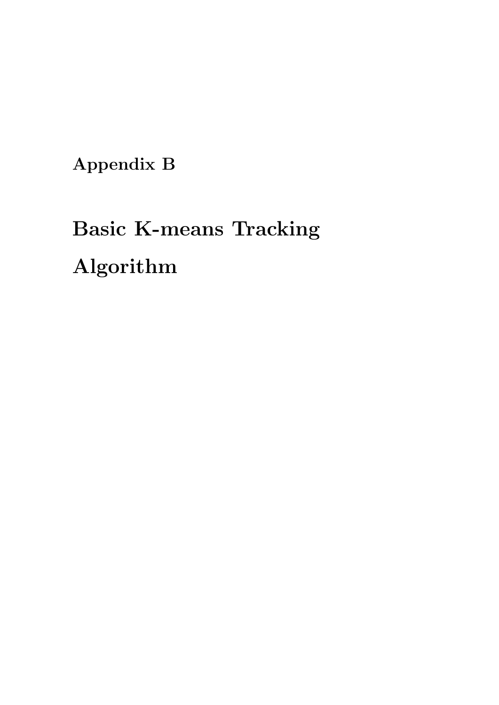Appendix B

# Basic K-means Tracking Algorithm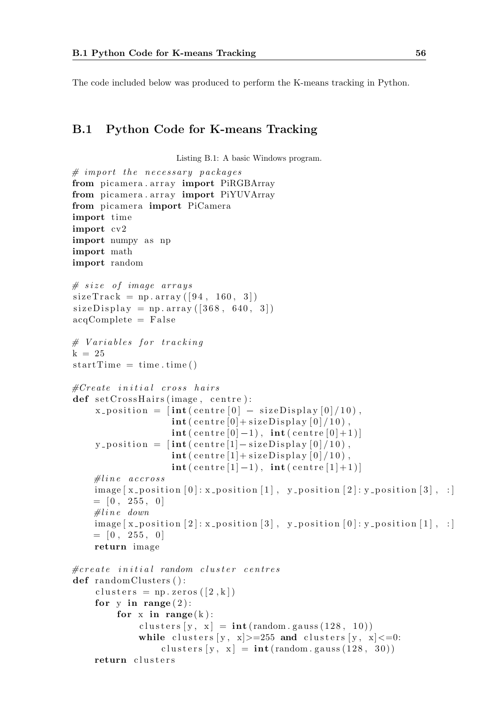The code included below was produced to perform the K-means tracking in Python.

#### B.1 Python Code for K-means Tracking

Listing B.1: A basic Windows program.

```
# import the necessary packagefrom picamera. array import PiRGBArray
from picamera . array import PiYUVArray
from picamera import PiCamera
import time
import cv2
import numpy as np
import math
import random
# size of image arrayssizeTrack = np.array([94, 160, 3])size Display = np.array([368, 640, 3])acqComplete = False# Variables for tracking
k = 25startTime = time . time()\#Create \initial cross hairs
def setCrossHairs (image, centre):
     x_{\text{-}position} = \left[ \text{int}(\text{centre} \left[ 0 \right] - \text{sizeDisplay} \left[ 0 \right] / 10 \right],\text{int} ( centre [0] + sizeDisplay [0]/10),
                         \textbf{int}(\text{centre}[0]-1), \text{int}(\text{centre}[0]+1)]y_{\text{-}position} = \left[ \text{int}(\text{centre}[1] - \text{sizeDisplay}[0]/10) \right],\textbf{int} ( centre [1] + sizeDisplay [0]/10),
                         \textbf{int}(\text{centre}[1]-1), \text{int}(\text{centre}[1]+1)]\# line \; \; \textit{accross}\text{image} [x_{\text{-}position}[0]: x_{\text{-}position}[1], y_{\text{-}position}[2]: y_{\text{-}position}[3], :]= [0, 255, 0]\# line \ down\text{image } [\text{x} \text{-position } [2] : \text{x} \text{-position } [3], \text{y} \text{-position } [0] : \text{y} \text{-position } [1], :]= [0, 255, 0]return image
\#create\ initial\ random\ cluster\ centresdef randomClusters ():
     clusters = np \cdot zeros([2, k])for y in range (2):
           for x in range(k):
                 c l u sters [y, x] = \text{int}(\text{random} \cdot \text{gauss}(128, 10))while clusters [y, x] > = 255 and clusters [y, x] < = 0:
                       clusters [y, x] = \text{int}(\text{random} \cdot \text{gauss}(128, 30))return clusters
```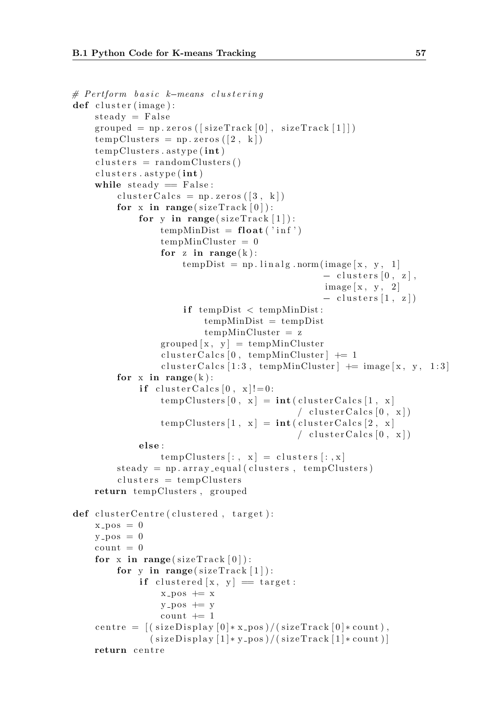```
B.1 Python Code for K-means Tracking<br># Pertform basic k-means clustering
def cluster (image):
    steady = Falsegrouped = np. zeros ([sizeTrack[0], sizeTrack[1]])
    tempClusters = np.zeros (2, k])tempClusters. astype(int)clusters = randomClusters()clusters. astype (int)while steady = False:
         clusterCalcs = np{\text .}zeros([3, k])for x in range (sizeTrack[0]):
             for y in range (sizeTrack[1]):
                 tempMinDist = float('inf')tempMinCluster = 0for z in range(k):
                      tempDist = np.linalg.norm(image[x, y, 1]- clusters [0, z],
                                                  image[x, y, 2]- clusters [1, z]if tempDist < tempMinDist:
                          tempMinDist = tempDisttempMinCluster = zgrouped [x, y] = tempMinClusterclusterCalcs [0, tempMinCluster] += 1cluster Calcs [1:3, \text{ tempMinCluster}] += image [x, y, 1:3]for x in range (k):
             if cluster Calcs [0, x]!=0:
                 tempClusters [0, x] = int(clusterCalcs [1, x]/ clustering \, (0, x]tempClusters [1, x] = int(clusterCalcs [2, x]/ cluster Calcs [0, x]else :
                 tempClassers[:, x] = clusters[:, x]steady = np.array_equal(clusters, tempClusters)clusters = tempClustersreturn tempClusters, grouped
def cluster Centre (clustered, target):x_{-}pos = 0v_{\text{-DOS}} = 0count = 0for x in range (sizeTrack[0]):
        for y in range (sizeTrack[1]):
             if clustered [x, y] = \text{target}:
                 x_{-}pos \neq xy - pos += ycount += 1centre = ((sizeDisplay[0]*x-pos)/(sizeTrack[0]*count),(sizeDisplay [1]*y\_pos)/(sizeTrack [1]*count)]return centre
```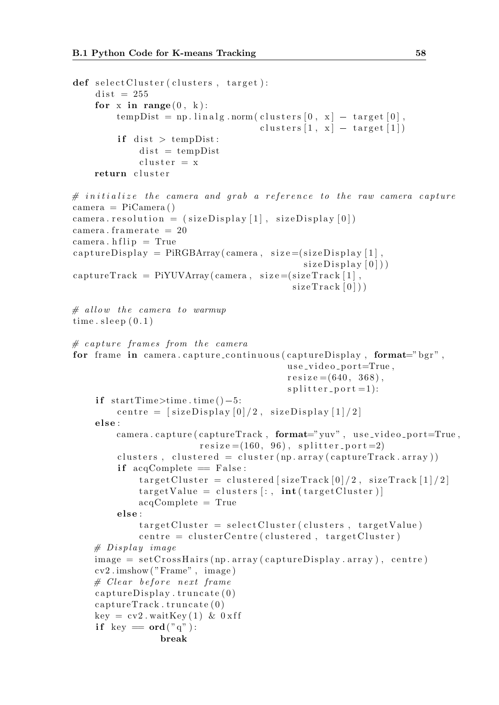```
def \; selectCluster(clusters, target):dist = 255for x in range (0, k):
         tempDist = np.linalg.norm(clusters [0, x] - target [0],clusters [1, x] - \text{target} [1]if dist > tempDist:
              dist = tempDistcluster = xreturn cluster
# initialize the camera and grab a reference to the raw camera capture
camera = PiCamera ( )
camera resolution = (sizeDisplay [1], sizeDisplay [0])camera. framerate = 20\text{camera.} \text{hflip} = \text{True}\text{captureDisplay} = \text{PiRGBArray}(\text{camera}, \text{ size} = (\text{sizeDisplay} \mid 1],sizeDisplay\lceil 0 \rceil)
\text{captureTrack} = \text{Pi} \text{VUVArray}(\text{ camera}, \text{ size} = (\text{sizeTrack}[1]),sizeTrace[0])
# allow the camera to warmup
time. sleep (0.1)# capture frames from the camera
for frame in camera capture_continuous (captureDisplay, format="bgr",
                                             use\_video\_port = True,resize = (640, 368),
                                             s p l i t t e r _ p o r t = 1):
    if startTime > time . time() - 5:
         centre = [sizeDisplay[0]/2, sizeDisplay[1]/2]else:camera.capture(captureTrack, format="yuv", use_video_port=True,
                          resize = (160, 96), split ter-port = 2)clusters, clustered = cluster (np.array(captureTrack.array))if acqComplete = False:
              targetCluster = clustered[sizeTrack[0]/2, sizeTrack[1]/2]targetValue = clusters[:, int(targetCluster)]acqComplete = True
         else:
              targetCluster = selectCluster (clusters, targetValue)centre = clusterCentre (clustered, targetCluster)# Display \ imageimage = setCrossHairs(np.array(captureDisplay.array), centre)cv2 . imshow ( "Frame" , image )
    # Clear\ before\ next\ framecaptureDisplay. truncate(0)\text{captureTrack}.\text{truncated}(0)key = cv2. waitKey (1) & 0 x ff
    if key = ord("q"):
                  break
```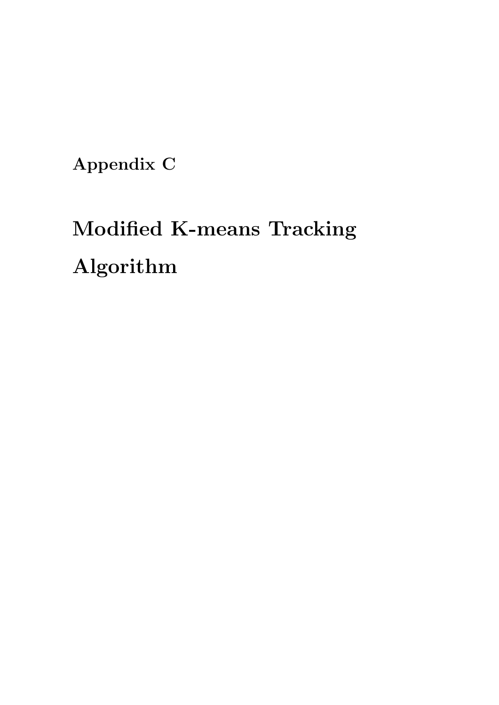Appendix C

# Modified K-means Tracking Algorithm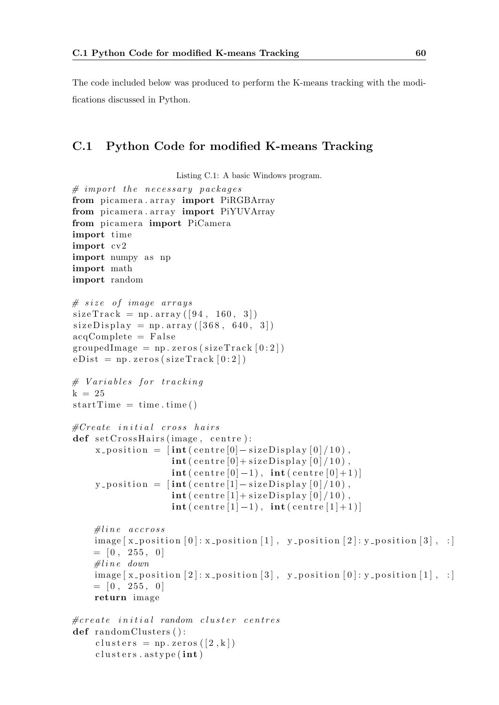The code included below was produced to perform the K-means tracking with the modifications discussed in Python.

#### C.1 Python Code for modified K-means Tracking

Listing C.1: A basic Windows program.

```
# import the necessary packages
from picamera . array import PiRGBArray
from picamera. array import PiYUVArray
from picamera import PiCamera
import time
import cv2
import numpy as np
import math
import random
# size of image arrayssizeTrack = np.array([94, 160, 3])sizeDisplay = np.array([368, 640, 3])acqComplete = FalsegroupedImage = np{\text .}zeros (sizeTrack [0:2])eDist = np \cdot zeros (sizeTrack [0:2])# \; Variables \; for \; trackingk = 25startTime = time . time()\#Create initial cross hairs
def setCrossHairs (image, centre):
     x_{\text{-}position} = \left[ \text{int}(\text{centre}[0] - \text{sizeDisplay}[0]/10) \right],\textbf{int}(\text{centre}[0]+\text{sizeDisplay}[0]/10),
                        \textbf{int}(\text{centre}[0]-1), \text{int}(\text{centre}[0]+1)]y_{\text{-}position} = \left[ \text{int}(\text{centre} [1] - \text{sizeDisplay} [0] / 10) \right],\text{int} ( centre [1] + sizeDisplay [0]/10),
                        \textbf{int}(\text{centre}[1]-1), \text{int}(\text{centre}[1]+1)]\# line \; \; \textit{accross}image [ x_{position} [ 0 ] : x_{position} [ 1 ], y_{position} [ 2 ] : y_{position} [ 3 ], : ]= [0, 255, 0]\# line \ down\text{image } [x_{\text{-}position} [2] : x_{\text{-}position} [3], y_{\text{-}position} [0] : y_{\text{-}position} [1], :]= [0, 255, 0]return image
\#create\ initial\ random\ cluster\ centresdef random Clusters ():
     clusters = np \cdot zeros([2, k])clusters. astype (int)
```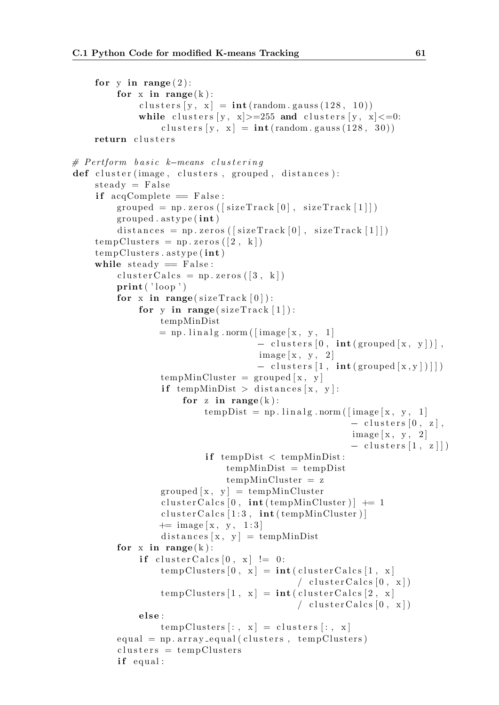```
for y in range (2):
          for x in range(k):
                c l u s t e r s [y, x] = \text{int}(\text{random} \cdot \text{gauss}(128, 10))while clusters [y, x] > = 255 and clusters [y, x] < = 0:
                     clusters [y, x] = \text{int}(\text{random} \cdot \text{gauss}(128, 30))return clusters
for y in range(2):<br>
for x in range(k):<br>
clusters [y, x] = int (ra<br>
while clusters [y, x] >=:<br>
clusters [y, x] = in<br>
return clusters<br>
# Pertform basic k-means clustering
def cluster (image, clusters, grouped, distances):
     steady = Falseif acqComplete = False:
          grouped = np. zeros ([sizeTrack[0], sizeTrack[1]])
          grouped . as type (int)distances = np{\text{ }}r\text{ }zeros\left(\left\lceil \text{ }size \right\rceil \text{ }r\text{ }ack\left\lceil 0 \right\rceil, \text{ }size \text{ }Trace\left[\left\lceil 1 \right\rceil \right]\right)tempClusters = np.zeros (2, k])tempClusters. astype(int)while steady = False:
          clusterCalcs = np{\text .}zeros([3, k])print('loop')for x in range (sizeTrack[0]):
                for y in range (sizeTrack[1]):
                     tempMinDist
                     = np. linalg.norm ([image [x, y, 1]]
                                             - clusters [0, \text{int}(\text{grouped }[x, y])],image [x, y, 2]- clusters [1, int(grouped[x, y])]
                     tempMinCluster = grouped [x, y]if tempMinDist > distances [x, y]:
                           for z in range(k):
                                tempDist = np.linalg.norm([image[x, y, 1])- clusters [0, z],
                                                                    image [x, y, 2]- clusters [1, z]]if tempDist < tempMinDist:
                                     tempMinDist = tempDisttempMinCluster = z
                     grouped [x, y] = tempMinClustercluster Calcs [0, int (tempMinCluster)] += 1
                     \text{clusterCalcs} [1:3, \text{int} (tempMinCluster)]
                     += \text{image } [x, y, 1:3]distances [x, y] = tempMinDistfor x in range(k):
                if cluster Calcs [0, x] != 0:
                     tempClusters [0, x] = int(clusterCalcs [1, x]/ clusterCalcs [0, x])tempClusters [1, x] = int(clusterCalcs [2, x]/ clusterCalcs [0, x])else :
                     tempClusters [:, x] = clusters [:, x]
          equal = np.array_equal(clusters, tempClusters)clusters = tempClustersif equal:
```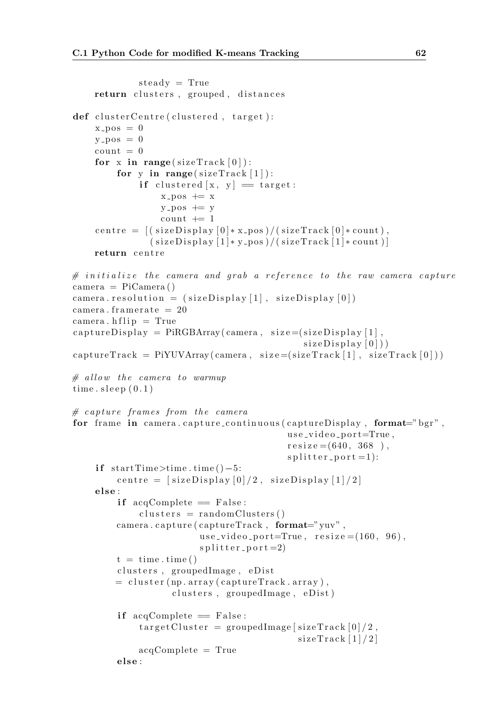```
steady = Truereturn clusters, grouped, distances
def cluster Centre (clustered, target):x_{\text{-pos}} = 0y - pos = 0count = 0for x in range (sizeTrack [0]):
         for y in range (sizeTrack[1]):
              if clustered [x, y] = \text{target}:
                   x-pos + = xy - pos \neq y
                   count += 1centre = ((sizeDisplay 0]*x-pos)/(sizeTrack 0]*count),(sizeDisplay[1]*y-pos)/(sizeTrack[1]*count)]return centre
\# initialize the camera and grab a reference to the raw camera capture
camera = PiCamera ( )
camera resolution = (sizeDisplay[1], sizeDisplay[0])camera. framerate = 20\text{camera.} \text{ hflip} = \text{True}\text{captureDisplay} = \text{PIRGBArray}(\text{camera}, \text{ size} = (\text{sizeDisplay} \mid 1],size Display(0))c apture \text{Trace} = \text{Pi} \text{VUVArray}(\text{camera}, \text{size} = (\text{size} \text{Trace}[1], \text{size} \text{Trace}[0]))# allow the camera to warmup
time.sleep(0.1)\# capture frames from the camera
for frame in camera . capture_continuous (captureDisplay, format="bgr",
                                               use\_video\_port = True,resize = (640, 368),
                                               s p l i t t e r _ p o r t = 1):
     if startTime > time . time() - 5:
         centre = \intsizeDisplay \int0 | / 2, sizeDisplay \lceil 1 \rceil / 2 |
     else :
          if acqComplete = False:
              clusters = randomClusters()\text{camera.capture} (captureTrack, format="yuv",
                           use_video_port=True, resize = (160, 96),
                            s p l i t e r p o r t = 2)
         t = \text{time . time}()clusters, groupedImage, eDist
         = cluster (np. array (capture Track. array),
                     clusters, groupedImage, eDist)
          if acqComplete = False:
              targetCluster = groupedImage[sizeTrack[0]/2,sizeTrace[1]/2]acqComplete = True
         else:
```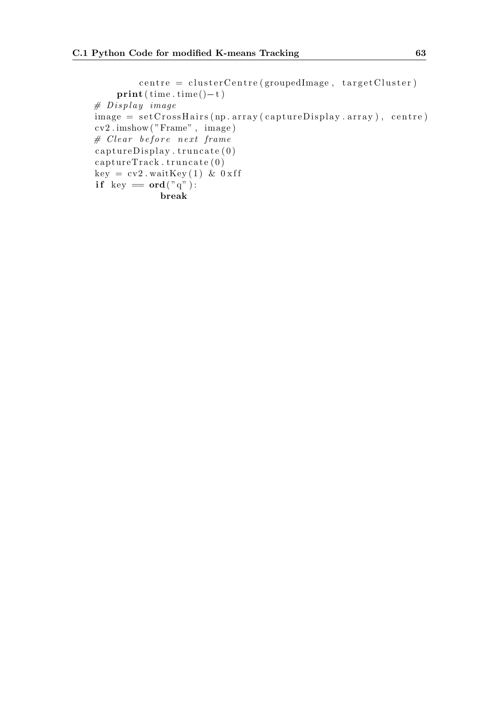```
centre = clusterCentre (groupedImage, targetCluster)\textbf{print}(\text{time}.\text{time}()-\text{t})# Display \ imageimage = setCrossHairs(np.array(captureDisplay.array), centre)cv2 . imshow ( "Frame" , image )
# Clear before next framecaptureDisplay. truncate(0)captureTrack. truncate (0)key = cv2. waitKey (1) & 0xff
if key = ord("q"):
             break
```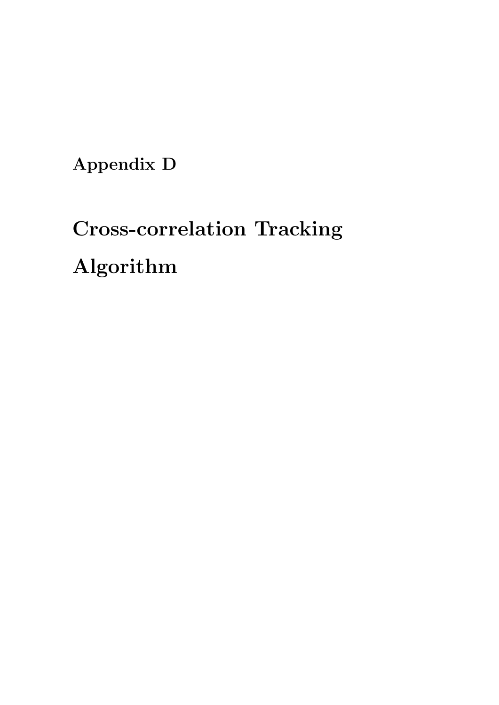Appendix D

## Cross-correlation Tracking Algorithm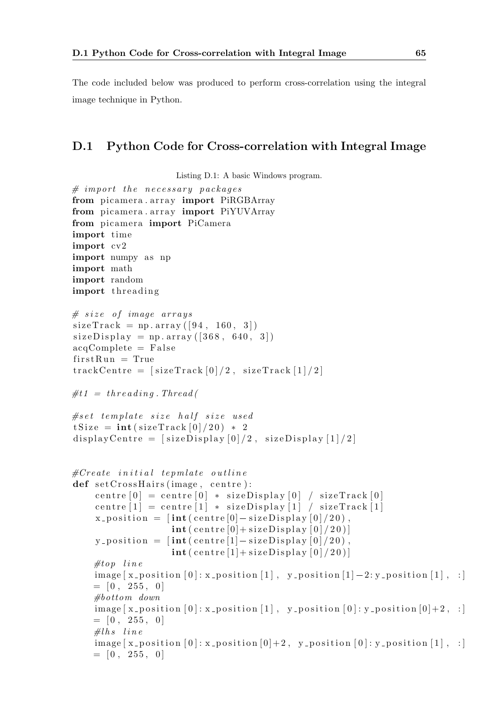The code included below was produced to perform cross-correlation using the integral image technique in Python.

## D.1 Python Code for Cross-correlation with Integral Image

```
Listing D.1: A basic Windows program.
```

```
# import the necessary packagefrom picamera . array import PiRGBArray
from picamera. array import PiYUVArray
from picamera import PiCamera
import time
import cv2
import numpy as np
import math
import random
import threading
# size of image arrayssizeTrack = np.array([94, 160, 3])size Display = np.array([368, 640, 3])acqComplete = Falsefirst Run = TruetrackCentre = [sizeTrack[0]/2, sizeTrack[1]/2]#t1 = threading. Thread (
# set template size half size used
tSize = int (sizeTrack[0]/20) * 2display Centre = [sizeDisplay[0]/2, sizeDisplay[1]/2]\#Create initial tepmlate outline
def set Cross Hairs (image, centre):
     centre [0] = centre [0] * sizeDisplay [0] / sizeTrack [0]centre [1] = \text{centre} [1] * \text{sizeDisplay} [1] / \text{sizeTrack} [1]x_{\text{-}position} = \left[ \text{int}(\text{centre}[0] - \text{sizeDisplay}[0]/20) \right],\text{int} ( centre [0] + sizeDisplay [0] /20)]
     y_{\text{-}position} = \left[ \text{int}(\text{centre}[1] - \text{sizeDisplay}[0]/20) \right],\textbf{int} ( centre [1] + sizeDisplay [0]/20)]
     \#top line
     \text{image } [x_{\text{-}position }[0]; x_{\text{-}position }[1], y_{\text{-}position }[1]-2: y_{\text{-}position }[1], :]= [0, 255, 0]# bottom\ downimage [ x_{position} [ 0 ] : x_{position} [ 1 ] , y_{position} [ 0 ] : y_{position} [ 0 ] + 2 , : ]= [0, 255, 0]#lhs line
     \text{image } [\text{x} \text{-position } [0]: \text{x} \text{-position } [0]+2, \text{ y} \text{-position } [0]: \text{y} \text{-position } [1], :]= [0, 255, 0]
```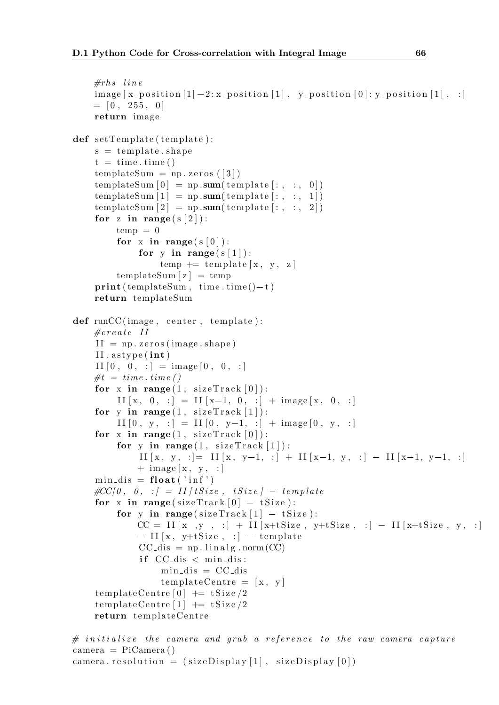```
\#rhs line
     \text{image} [\text{x} \text{-position}[1] - 2; \text{x} \text{-position}[1], \text{y} \text{-position}[0]; \text{y} \text{-position}[1], \text{z}= [0, 255, 0]return image
def setTemplate(template):s = template . shape
     t = time.time()templateSum = np \cdot zeros (13)templateSum [0] = np.sum(temple[:, : , 0])templateSum[1] = np.sum(temple[:, : , 1])templateSum [2] = np \cdot sum(template[:, : , 2])for z in range(s[2]):
          temp = 0for x in range (s [0]):
                for y in range (s [1]):
                     temp \leftarrow temp late [x, y, z]templateSum [z] = temp\textbf{print}(\text{templateSum}, \text{ time}.\text{ time}() - t)return templateSum
def \ runCC (image, center, template):\#create II
     II = np \cdot zeros (image \cdot shape)II . a stype (int)II [0, 0, :] = image [0, 0, :]\#t = time \cdot time()for x in range (1, sizeTrack[0]):
           II [x, 0, :] = II [x-1, 0, :] + image [x, 0, :]for y in range (1, sizeTrack[1]):II [0, y, :] = II [0, y-1, :] + image [0, y, :]for x in range (1, sizeTrack[0]):
           for y in range (1, sizeTrack[1]):
                II [x, y, :]= II [x, y-1, :] + II [x-1, y, :] - II [x-1, y-1, :]+ image [x, y, :]
     min\_dis = float('inf')for x in range(1, sizeTrack [0]):<br>
\Pi[x, 0, :] = \Pi[x-1, 0, :] + \text{image}[x,<br>
for y in range(1, sizeTrack [1]):<br>
\Pi[0, y, :] = \Pi[0, y-1, :] + \text{image}[0,<br>
for x in range(1, sizeTrack [0]):<br>
for y in range(1, sizeTrack [1]):<br>
\Pi[x, y, :] = \Pi[x, yfor x in range (sizeTrace[0] - tSize):
           for y in range (sizeTrack [1] - tSize):
                CC = II[x, y, :] + II[x+tSize, y+tSize, :] - II[x+tSize, y, :]- II [x, y+tSize, : ] - template
                CC-dis = np. linalg.norm (CC)if CC<sub>dis</sub> \langle min dis:
                     min\_dis = CC\_distemplateCentre = [x, y]templateCentre [0] += tSize/2templateCentre [1] += tSize/2return templateCentre
```

```
\# initialize the camera and grab a reference to the raw camera capture
camera = PiCamera ( )
camera . resolution = (sizeDisplay[1], sizeDisplay[0])
```